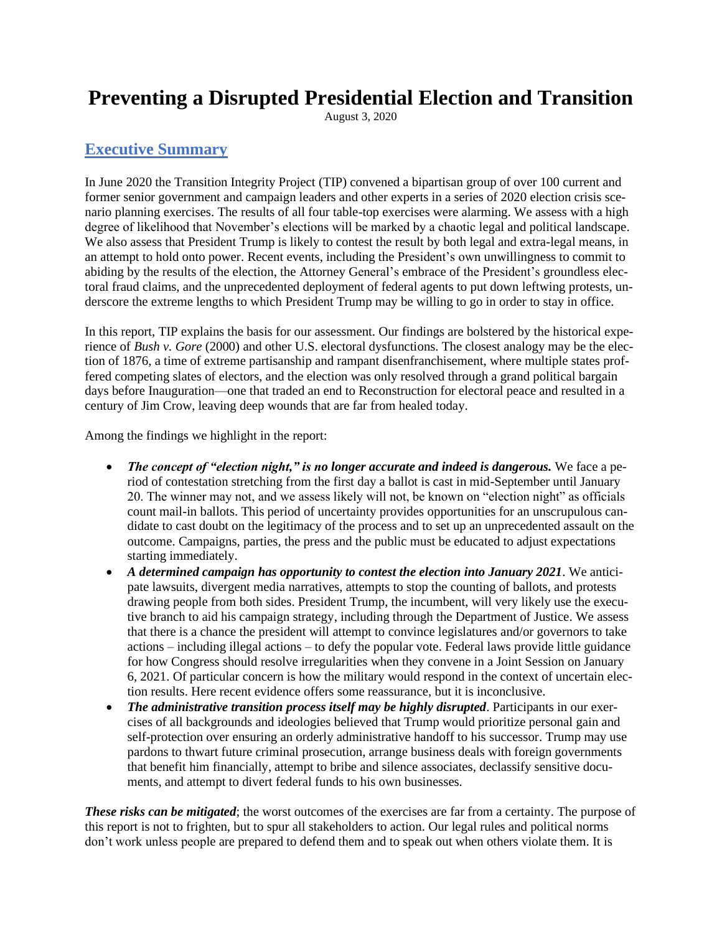# **Preventing a Disrupted Presidential Election and Transition**

August 3, 2020

## **Executive Summary**

In June 2020 the Transition Integrity Project (TIP) convened a bipartisan group of over 100 current and former senior government and campaign leaders and other experts in a series of 2020 election crisis scenario planning exercises. The results of all four table-top exercises were alarming. We assess with a high degree of likelihood that November's elections will be marked by a chaotic legal and political landscape. We also assess that President Trump is likely to contest the result by both legal and extra-legal means, in an attempt to hold onto power. Recent events, including the President's own unwillingness to commit to abiding by the results of the election, the Attorney General's embrace of the President's groundless electoral fraud claims, and the unprecedented deployment of federal agents to put down leftwing protests, underscore the extreme lengths to which President Trump may be willing to go in order to stay in office.

In this report, TIP explains the basis for our assessment. Our findings are bolstered by the historical experience of *Bush v. Gore* (2000) and other U.S. electoral dysfunctions. The closest analogy may be the election of 1876, a time of extreme partisanship and rampant disenfranchisement, where multiple states proffered competing slates of electors, and the election was only resolved through a grand political bargain days before Inauguration—one that traded an end to Reconstruction for electoral peace and resulted in a century of Jim Crow, leaving deep wounds that are far from healed today.

Among the findings we highlight in the report:

- *The concept of "election night," is no longer accurate and indeed is dangerous.* We face a period of contestation stretching from the first day a ballot is cast in mid-September until January 20. The winner may not, and we assess likely will not, be known on "election night" as officials count mail-in ballots. This period of uncertainty provides opportunities for an unscrupulous candidate to cast doubt on the legitimacy of the process and to set up an unprecedented assault on the outcome. Campaigns, parties, the press and the public must be educated to adjust expectations starting immediately.
- *A determined campaign has opportunity to contest the election into January 2021*. We anticipate lawsuits, divergent media narratives, attempts to stop the counting of ballots, and protests drawing people from both sides. President Trump, the incumbent, will very likely use the executive branch to aid his campaign strategy, including through the Department of Justice. We assess that there is a chance the president will attempt to convince legislatures and/or governors to take actions – including illegal actions – to defy the popular vote. Federal laws provide little guidance for how Congress should resolve irregularities when they convene in a Joint Session on January 6, 2021. Of particular concern is how the military would respond in the context of uncertain election results. Here recent evidence offers some reassurance, but it is inconclusive.
- *The administrative transition process itself may be highly disrupted*. Participants in our exercises of all backgrounds and ideologies believed that Trump would prioritize personal gain and self-protection over ensuring an orderly administrative handoff to his successor. Trump may use pardons to thwart future criminal prosecution, arrange business deals with foreign governments that benefit him financially, attempt to bribe and silence associates, declassify sensitive documents, and attempt to divert federal funds to his own businesses.

*These risks can be mitigated*; the worst outcomes of the exercises are far from a certainty. The purpose of this report is not to frighten, but to spur all stakeholders to action. Our legal rules and political norms don't work unless people are prepared to defend them and to speak out when others violate them. It is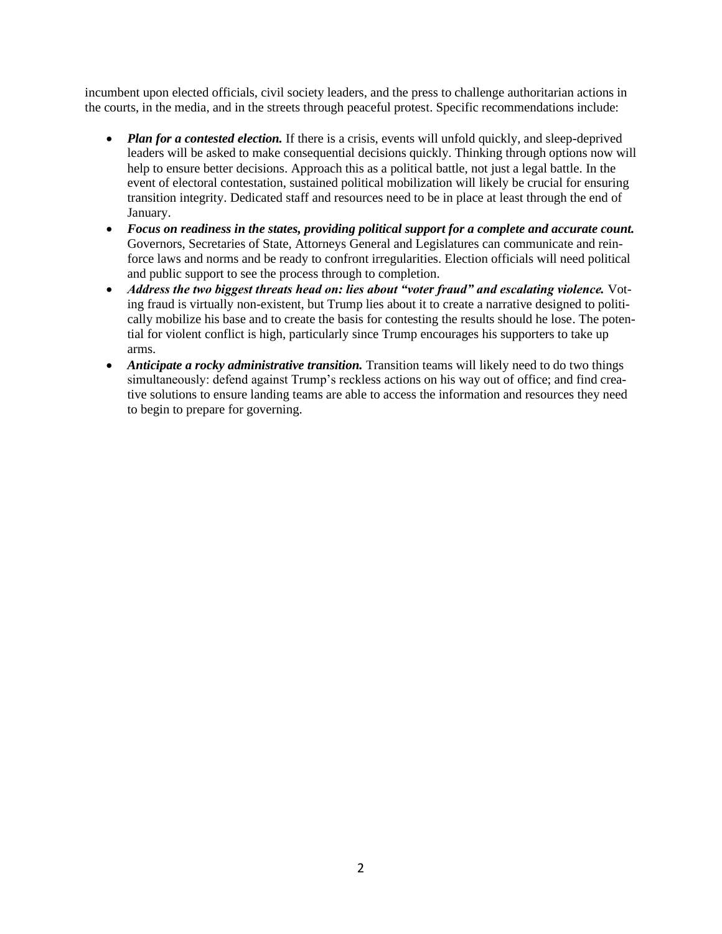incumbent upon elected officials, civil society leaders, and the press to challenge authoritarian actions in the courts, in the media, and in the streets through peaceful protest. Specific recommendations include:

- *Plan for a contested election*. If there is a crisis, events will unfold quickly, and sleep-deprived leaders will be asked to make consequential decisions quickly. Thinking through options now will help to ensure better decisions. Approach this as a political battle, not just a legal battle. In the event of electoral contestation, sustained political mobilization will likely be crucial for ensuring transition integrity. Dedicated staff and resources need to be in place at least through the end of January.
- *Focus on readiness in the states, providing political support for a complete and accurate count.*  Governors, Secretaries of State, Attorneys General and Legislatures can communicate and reinforce laws and norms and be ready to confront irregularities. Election officials will need political and public support to see the process through to completion.
- *Address the two biggest threats head on: lies about "voter fraud" and escalating violence.* Voting fraud is virtually non-existent, but Trump lies about it to create a narrative designed to politically mobilize his base and to create the basis for contesting the results should he lose. The potential for violent conflict is high, particularly since Trump encourages his supporters to take up arms.
- *Anticipate a rocky administrative transition.* Transition teams will likely need to do two things simultaneously: defend against Trump's reckless actions on his way out of office; and find creative solutions to ensure landing teams are able to access the information and resources they need to begin to prepare for governing.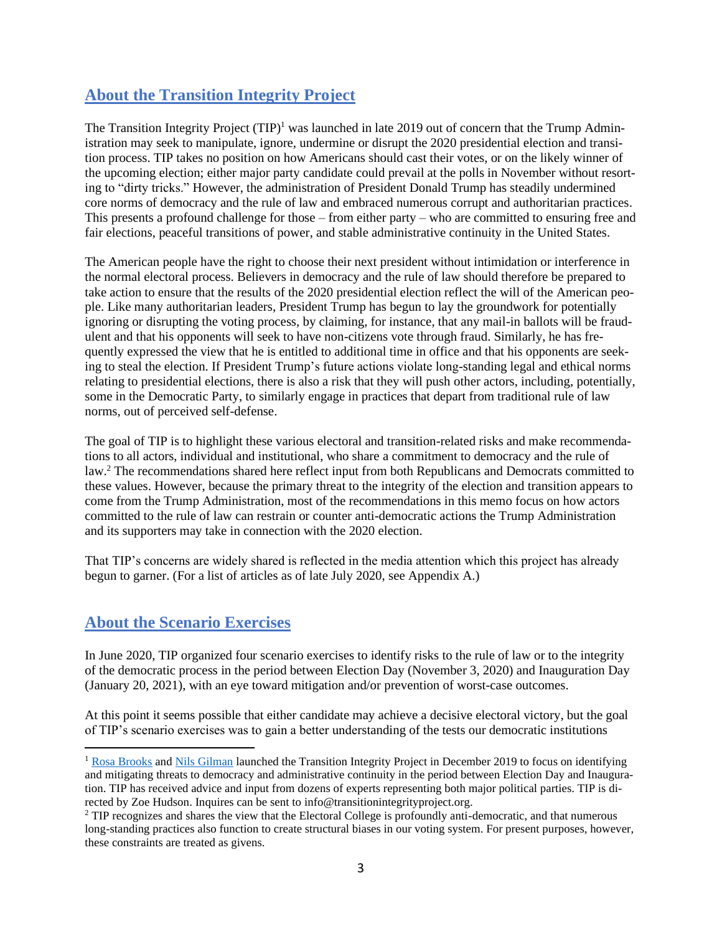## **About the Transition Integrity Project**

The Transition Integrity Project  $(TIP)^1$  was launched in late 2019 out of concern that the Trump Administration may seek to manipulate, ignore, undermine or disrupt the 2020 presidential election and transition process. TIP takes no position on how Americans should cast their votes, or on the likely winner of the upcoming election; either major party candidate could prevail at the polls in November without resorting to "dirty tricks." However, the administration of President Donald Trump has steadily undermined core norms of democracy and the rule of law and embraced numerous corrupt and authoritarian practices. This presents a profound challenge for those – from either party – who are committed to ensuring free and fair elections, peaceful transitions of power, and stable administrative continuity in the United States.

The American people have the right to choose their next president without intimidation or interference in the normal electoral process. Believers in democracy and the rule of law should therefore be prepared to take action to ensure that the results of the 2020 presidential election reflect the will of the American people. Like many authoritarian leaders, President Trump has begun to lay the groundwork for potentially ignoring or disrupting the voting process, by claiming, for instance, that any mail-in ballots will be fraudulent and that his opponents will seek to have non-citizens vote through fraud. Similarly, he has frequently expressed the view that he is entitled to additional time in office and that his opponents are seeking to steal the election. If President Trump's future actions violate long-standing legal and ethical norms relating to presidential elections, there is also a risk that they will push other actors, including, potentially, some in the Democratic Party, to similarly engage in practices that depart from traditional rule of law norms, out of perceived self-defense.

The goal of TIP is to highlight these various electoral and transition-related risks and make recommendations to all actors, individual and institutional, who share a commitment to democracy and the rule of law.<sup>2</sup> The recommendations shared here reflect input from both Republicans and Democrats committed to these values. However, because the primary threat to the integrity of the election and transition appears to come from the Trump Administration, most of the recommendations in this memo focus on how actors committed to the rule of law can restrain or counter anti-democratic actions the Trump Administration and its supporters may take in connection with the 2020 election.

That TIP's concerns are widely shared is reflected in the media attention which this project has already begun to garner. (For a list of articles as of late July 2020, see Appendix A.)

## **About the Scenario Exercises**

In June 2020, TIP organized four scenario exercises to identify risks to the rule of law or to the integrity of the democratic process in the period between Election Day (November 3, 2020) and Inauguration Day (January 20, 2021), with an eye toward mitigation and/or prevention of worst-case outcomes.

At this point it seems possible that either candidate may achieve a decisive electoral victory, but the goal of TIP's scenario exercises was to gain a better understanding of the tests our democratic institutions

<sup>&</sup>lt;sup>1</sup> [Rosa Brooks](https://www.law.georgetown.edu/faculty/rosa-brooks/) an[d Nils Gilman](https://www.berggruen.org/people/nils-gilman/) launched the Transition Integrity Project in December 2019 to focus on identifying and mitigating threats to democracy and administrative continuity in the period between Election Day and Inauguration. TIP has received advice and input from dozens of experts representing both major political parties. TIP is directed by Zoe Hudson. Inquires can be sent to info@transitionintegrityproject.org.

<sup>&</sup>lt;sup>2</sup> TIP recognizes and shares the view that the Electoral College is profoundly anti-democratic, and that numerous long-standing practices also function to create structural biases in our voting system. For present purposes, however, these constraints are treated as givens.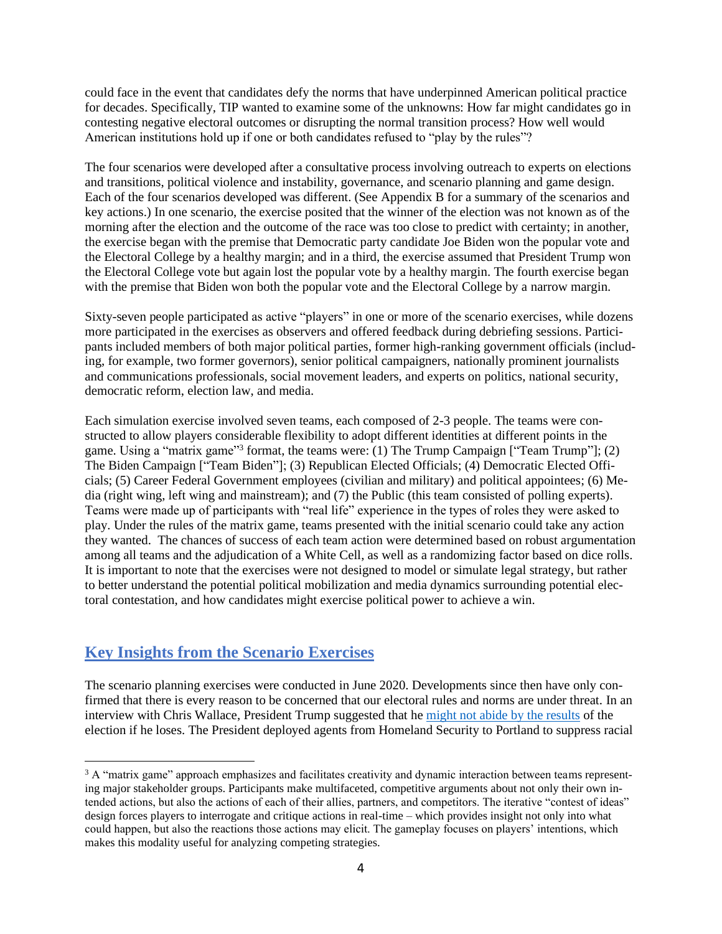could face in the event that candidates defy the norms that have underpinned American political practice for decades. Specifically, TIP wanted to examine some of the unknowns: How far might candidates go in contesting negative electoral outcomes or disrupting the normal transition process? How well would American institutions hold up if one or both candidates refused to "play by the rules"?

The four scenarios were developed after a consultative process involving outreach to experts on elections and transitions, political violence and instability, governance, and scenario planning and game design. Each of the four scenarios developed was different. (See Appendix B for a summary of the scenarios and key actions.) In one scenario, the exercise posited that the winner of the election was not known as of the morning after the election and the outcome of the race was too close to predict with certainty; in another, the exercise began with the premise that Democratic party candidate Joe Biden won the popular vote and the Electoral College by a healthy margin; and in a third, the exercise assumed that President Trump won the Electoral College vote but again lost the popular vote by a healthy margin. The fourth exercise began with the premise that Biden won both the popular vote and the Electoral College by a narrow margin.

Sixty-seven people participated as active "players" in one or more of the scenario exercises, while dozens more participated in the exercises as observers and offered feedback during debriefing sessions. Participants included members of both major political parties, former high-ranking government officials (including, for example, two former governors), senior political campaigners, nationally prominent journalists and communications professionals, social movement leaders, and experts on politics, national security, democratic reform, election law, and media.

Each simulation exercise involved seven teams, each composed of 2-3 people. The teams were constructed to allow players considerable flexibility to adopt different identities at different points in the game. Using a "matrix game"<sup>3</sup> format, the teams were: (1) The Trump Campaign ["Team Trump"]; (2) The Biden Campaign ["Team Biden"]; (3) Republican Elected Officials; (4) Democratic Elected Officials; (5) Career Federal Government employees (civilian and military) and political appointees; (6) Media (right wing, left wing and mainstream); and (7) the Public (this team consisted of polling experts). Teams were made up of participants with "real life" experience in the types of roles they were asked to play. Under the rules of the matrix game, teams presented with the initial scenario could take any action they wanted. The chances of success of each team action were determined based on robust argumentation among all teams and the adjudication of a White Cell, as well as a randomizing factor based on dice rolls. It is important to note that the exercises were not designed to model or simulate legal strategy, but rather to better understand the potential political mobilization and media dynamics surrounding potential electoral contestation, and how candidates might exercise political power to achieve a win.

## **Key Insights from the Scenario Exercises**

The scenario planning exercises were conducted in June 2020. Developments since then have only confirmed that there is every reason to be concerned that our electoral rules and norms are under threat. In an interview with Chris Wallace, President Trump suggested that he [might not abide by the results](https://www.nytimes.com/2020/07/19/us/politics/trump-fox-interview-coronavirus-race.html) of the election if he loses. The President deployed agents from Homeland Security to Portland to suppress racial

<sup>&</sup>lt;sup>3</sup> A "matrix game" approach emphasizes and facilitates creativity and dynamic interaction between teams representing major stakeholder groups. Participants make multifaceted, competitive arguments about not only their own intended actions, but also the actions of each of their allies, partners, and competitors. The iterative "contest of ideas" design forces players to interrogate and critique actions in real-time – which provides insight not only into what could happen, but also the reactions those actions may elicit. The gameplay focuses on players' intentions, which makes this modality useful for analyzing competing strategies.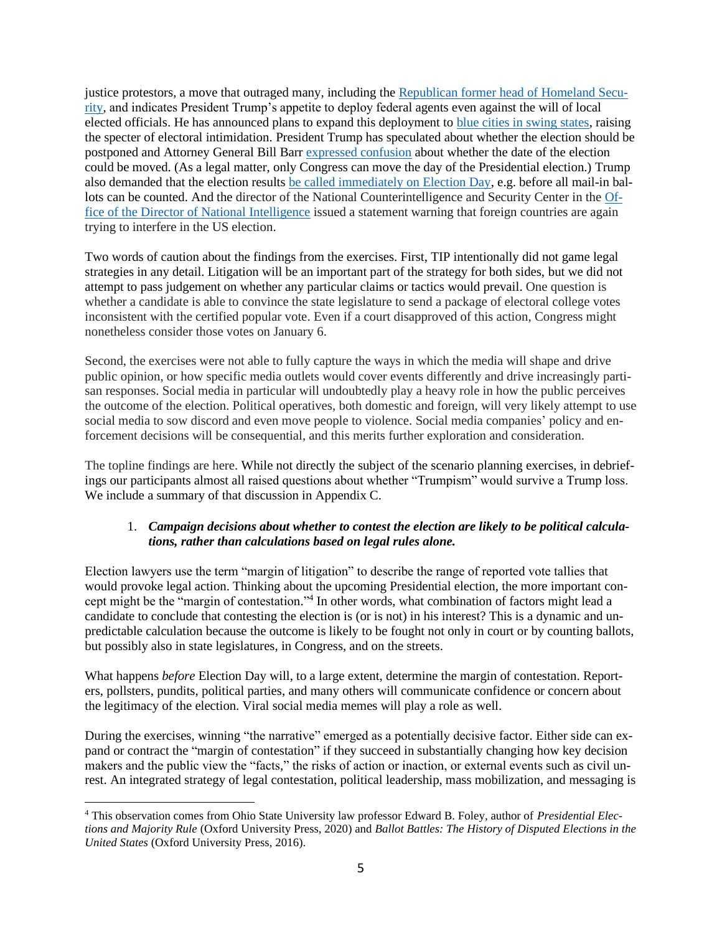justice protestors, a move that outraged many, including the [Republican former head](https://www.cnn.com/2020/07/27/politics/ridge-portland-force-not-consistent/index.html) of Homeland Secu[rity,](https://www.cnn.com/2020/07/27/politics/ridge-portland-force-not-consistent/index.html) and indicates President Trump's appetite to deploy federal agents even against the will of local elected officials. He has announced plans to expand this deployment to [blue cities in swing states,](https://www.forbes.com/sites/jemimamcevoy/2020/07/29/trump-administration-sending-federal-forces-to-cleveland-detroit-and-milwaukee/#2c56af2e69ce) raising the specter of electoral intimidation. President Trump has speculated about whether the election should be postponed and Attorney General Bill Barr [expressed confusion](https://twitter.com/ElectionTask/status/1288171392136097800) about whether the date of the election could be moved. (As a legal matter, only Congress can move the day of the Presidential election.) Trump also demanded that the election results [be called immediately on Election Day,](https://twitter.com/realDonaldTrump/status/1288933078287745024) e.g. before all mail-in ballots can be counted. And the director of the National Counterintelligence and Security Center in the [Of](https://www.dni.gov/index.php/newsroom/press-releases/item/2135-statement-by-ncsc-director-william-evanina-100-days-until-election-2020)[fice of the Director of National Intelligence](https://www.dni.gov/index.php/newsroom/press-releases/item/2135-statement-by-ncsc-director-william-evanina-100-days-until-election-2020) issued a statement warning that foreign countries are again trying to interfere in the US election.

Two words of caution about the findings from the exercises. First, TIP intentionally did not game legal strategies in any detail. Litigation will be an important part of the strategy for both sides, but we did not attempt to pass judgement on whether any particular claims or tactics would prevail. One question is whether a candidate is able to convince the state legislature to send a package of electoral college votes inconsistent with the certified popular vote. Even if a court disapproved of this action, Congress might nonetheless consider those votes on January 6.

Second, the exercises were not able to fully capture the ways in which the media will shape and drive public opinion, or how specific media outlets would cover events differently and drive increasingly partisan responses. Social media in particular will undoubtedly play a heavy role in how the public perceives the outcome of the election. Political operatives, both domestic and foreign, will very likely attempt to use social media to sow discord and even move people to violence. Social media companies' policy and enforcement decisions will be consequential, and this merits further exploration and consideration.

The topline findings are here. While not directly the subject of the scenario planning exercises, in debriefings our participants almost all raised questions about whether "Trumpism" would survive a Trump loss. We include a summary of that discussion in Appendix C.

## 1. *Campaign decisions about whether to contest the election are likely to be political calculations, rather than calculations based on legal rules alone.*

Election lawyers use the term "margin of litigation" to describe the range of reported vote tallies that would provoke legal action. Thinking about the upcoming Presidential election, the more important concept might be the "margin of contestation." 4 In other words, what combination of factors might lead a candidate to conclude that contesting the election is (or is not) in his interest? This is a dynamic and unpredictable calculation because the outcome is likely to be fought not only in court or by counting ballots, but possibly also in state legislatures, in Congress, and on the streets.

What happens *before* Election Day will, to a large extent, determine the margin of contestation. Reporters, pollsters, pundits, political parties, and many others will communicate confidence or concern about the legitimacy of the election. Viral social media memes will play a role as well.

During the exercises, winning "the narrative" emerged as a potentially decisive factor. Either side can expand or contract the "margin of contestation" if they succeed in substantially changing how key decision makers and the public view the "facts," the risks of action or inaction, or external events such as civil unrest. An integrated strategy of legal contestation, political leadership, mass mobilization, and messaging is

<sup>4</sup> This observation comes from Ohio State University law professor Edward B. Foley, author of *Presidential Elections and Majority Rule* (Oxford University Press, 2020) and *Ballot Battles: The History of Disputed Elections in the United States* (Oxford University Press, 2016).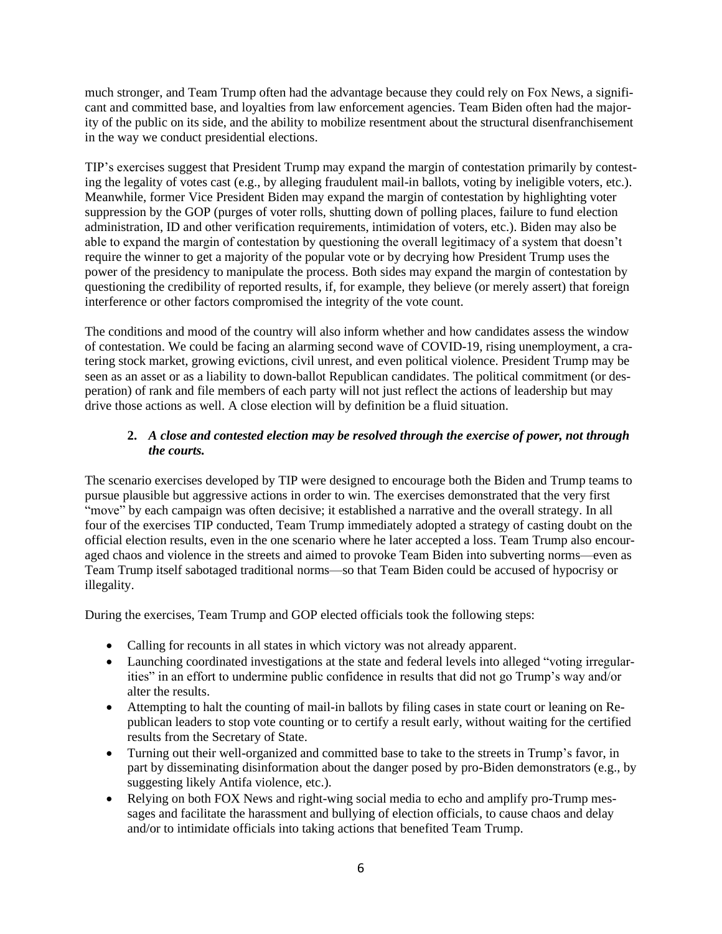much stronger, and Team Trump often had the advantage because they could rely on Fox News, a significant and committed base, and loyalties from law enforcement agencies. Team Biden often had the majority of the public on its side, and the ability to mobilize resentment about the structural disenfranchisement in the way we conduct presidential elections.

TIP's exercises suggest that President Trump may expand the margin of contestation primarily by contesting the legality of votes cast (e.g., by alleging fraudulent mail-in ballots, voting by ineligible voters, etc.). Meanwhile, former Vice President Biden may expand the margin of contestation by highlighting voter suppression by the GOP (purges of voter rolls, shutting down of polling places, failure to fund election administration, ID and other verification requirements, intimidation of voters, etc.). Biden may also be able to expand the margin of contestation by questioning the overall legitimacy of a system that doesn't require the winner to get a majority of the popular vote or by decrying how President Trump uses the power of the presidency to manipulate the process. Both sides may expand the margin of contestation by questioning the credibility of reported results, if, for example, they believe (or merely assert) that foreign interference or other factors compromised the integrity of the vote count.

The conditions and mood of the country will also inform whether and how candidates assess the window of contestation. We could be facing an alarming second wave of COVID-19, rising unemployment, a cratering stock market, growing evictions, civil unrest, and even political violence. President Trump may be seen as an asset or as a liability to down-ballot Republican candidates. The political commitment (or desperation) of rank and file members of each party will not just reflect the actions of leadership but may drive those actions as well. A close election will by definition be a fluid situation.

### **2.** *A close and contested election may be resolved through the exercise of power, not through the courts.*

The scenario exercises developed by TIP were designed to encourage both the Biden and Trump teams to pursue plausible but aggressive actions in order to win. The exercises demonstrated that the very first "move" by each campaign was often decisive; it established a narrative and the overall strategy. In all four of the exercises TIP conducted, Team Trump immediately adopted a strategy of casting doubt on the official election results, even in the one scenario where he later accepted a loss. Team Trump also encouraged chaos and violence in the streets and aimed to provoke Team Biden into subverting norms—even as Team Trump itself sabotaged traditional norms—so that Team Biden could be accused of hypocrisy or illegality.

During the exercises, Team Trump and GOP elected officials took the following steps:

- Calling for recounts in all states in which victory was not already apparent.
- Launching coordinated investigations at the state and federal levels into alleged "voting irregularities" in an effort to undermine public confidence in results that did not go Trump's way and/or alter the results.
- Attempting to halt the counting of mail-in ballots by filing cases in state court or leaning on Republican leaders to stop vote counting or to certify a result early, without waiting for the certified results from the Secretary of State.
- Turning out their well-organized and committed base to take to the streets in Trump's favor, in part by disseminating disinformation about the danger posed by pro-Biden demonstrators (e.g., by suggesting likely Antifa violence, etc.).
- Relying on both FOX News and right-wing social media to echo and amplify pro-Trump messages and facilitate the harassment and bullying of election officials, to cause chaos and delay and/or to intimidate officials into taking actions that benefited Team Trump.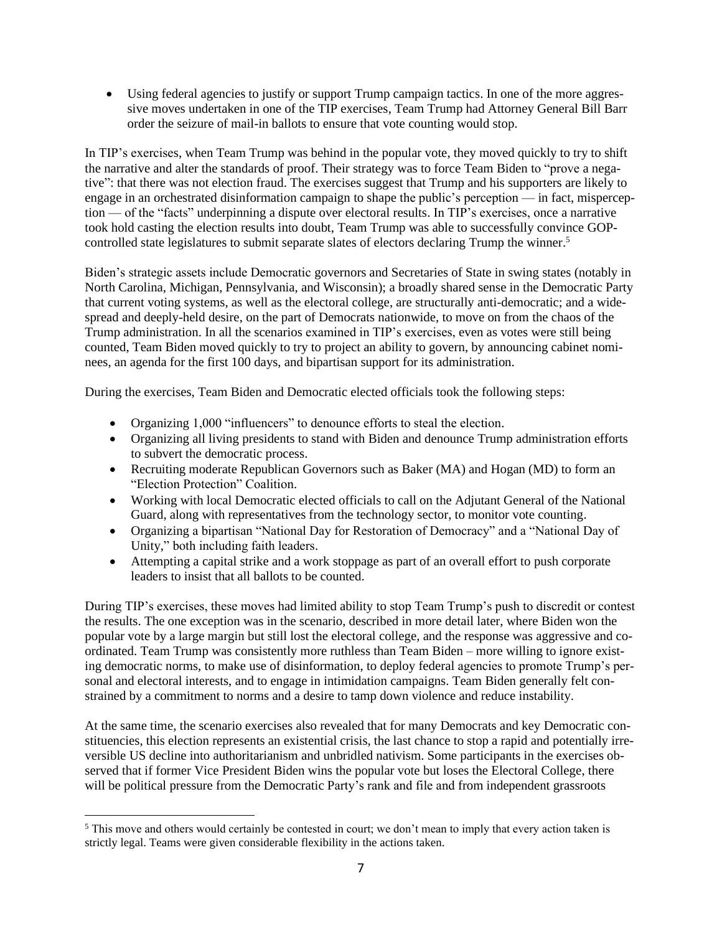• Using federal agencies to justify or support Trump campaign tactics. In one of the more aggressive moves undertaken in one of the TIP exercises, Team Trump had Attorney General Bill Barr order the seizure of mail-in ballots to ensure that vote counting would stop.

In TIP's exercises, when Team Trump was behind in the popular vote, they moved quickly to try to shift the narrative and alter the standards of proof. Their strategy was to force Team Biden to "prove a negative": that there was not election fraud. The exercises suggest that Trump and his supporters are likely to engage in an orchestrated disinformation campaign to shape the public's perception — in fact, misperception — of the "facts" underpinning a dispute over electoral results. In TIP's exercises, once a narrative took hold casting the election results into doubt, Team Trump was able to successfully convince GOPcontrolled state legislatures to submit separate slates of electors declaring Trump the winner. 5

Biden's strategic assets include Democratic governors and Secretaries of State in swing states (notably in North Carolina, Michigan, Pennsylvania, and Wisconsin); a broadly shared sense in the Democratic Party that current voting systems, as well as the electoral college, are structurally anti-democratic; and a widespread and deeply-held desire, on the part of Democrats nationwide, to move on from the chaos of the Trump administration. In all the scenarios examined in TIP's exercises, even as votes were still being counted, Team Biden moved quickly to try to project an ability to govern, by announcing cabinet nominees, an agenda for the first 100 days, and bipartisan support for its administration.

During the exercises, Team Biden and Democratic elected officials took the following steps:

- Organizing 1,000 "influencers" to denounce efforts to steal the election.
- Organizing all living presidents to stand with Biden and denounce Trump administration efforts to subvert the democratic process.
- Recruiting moderate Republican Governors such as Baker (MA) and Hogan (MD) to form an "Election Protection" Coalition.
- Working with local Democratic elected officials to call on the Adjutant General of the National Guard, along with representatives from the technology sector, to monitor vote counting.
- Organizing a bipartisan "National Day for Restoration of Democracy" and a "National Day of Unity," both including faith leaders.
- Attempting a capital strike and a work stoppage as part of an overall effort to push corporate leaders to insist that all ballots to be counted.

During TIP's exercises, these moves had limited ability to stop Team Trump's push to discredit or contest the results. The one exception was in the scenario, described in more detail later, where Biden won the popular vote by a large margin but still lost the electoral college, and the response was aggressive and coordinated. Team Trump was consistently more ruthless than Team Biden – more willing to ignore existing democratic norms, to make use of disinformation, to deploy federal agencies to promote Trump's personal and electoral interests, and to engage in intimidation campaigns. Team Biden generally felt constrained by a commitment to norms and a desire to tamp down violence and reduce instability.

At the same time, the scenario exercises also revealed that for many Democrats and key Democratic constituencies, this election represents an existential crisis, the last chance to stop a rapid and potentially irreversible US decline into authoritarianism and unbridled nativism. Some participants in the exercises observed that if former Vice President Biden wins the popular vote but loses the Electoral College, there will be political pressure from the Democratic Party's rank and file and from independent grassroots

<sup>&</sup>lt;sup>5</sup> This move and others would certainly be contested in court; we don't mean to imply that every action taken is strictly legal. Teams were given considerable flexibility in the actions taken.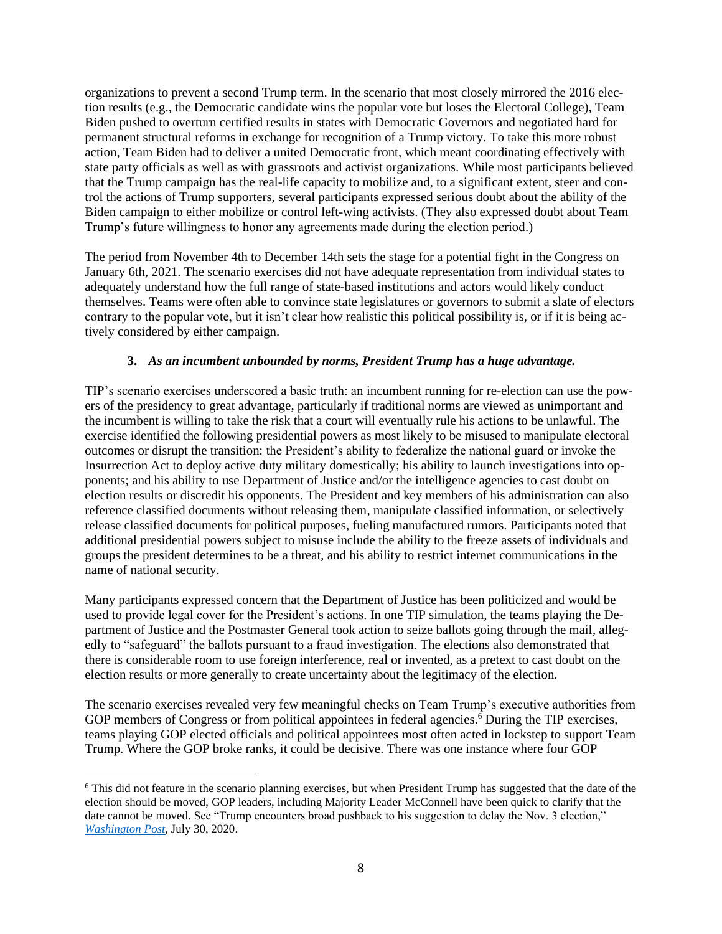organizations to prevent a second Trump term. In the scenario that most closely mirrored the 2016 election results (e.g., the Democratic candidate wins the popular vote but loses the Electoral College), Team Biden pushed to overturn certified results in states with Democratic Governors and negotiated hard for permanent structural reforms in exchange for recognition of a Trump victory. To take this more robust action, Team Biden had to deliver a united Democratic front, which meant coordinating effectively with state party officials as well as with grassroots and activist organizations. While most participants believed that the Trump campaign has the real-life capacity to mobilize and, to a significant extent, steer and control the actions of Trump supporters, several participants expressed serious doubt about the ability of the Biden campaign to either mobilize or control left-wing activists. (They also expressed doubt about Team Trump's future willingness to honor any agreements made during the election period.)

The period from November 4th to December 14th sets the stage for a potential fight in the Congress on January 6th, 2021. The scenario exercises did not have adequate representation from individual states to adequately understand how the full range of state-based institutions and actors would likely conduct themselves. Teams were often able to convince state legislatures or governors to submit a slate of electors contrary to the popular vote, but it isn't clear how realistic this political possibility is, or if it is being actively considered by either campaign.

### **3.** *As an incumbent unbounded by norms, President Trump has a huge advantage.*

TIP's scenario exercises underscored a basic truth: an incumbent running for re-election can use the powers of the presidency to great advantage, particularly if traditional norms are viewed as unimportant and the incumbent is willing to take the risk that a court will eventually rule his actions to be unlawful. The exercise identified the following presidential powers as most likely to be misused to manipulate electoral outcomes or disrupt the transition: the President's ability to federalize the national guard or invoke the Insurrection Act to deploy active duty military domestically; his ability to launch investigations into opponents; and his ability to use Department of Justice and/or the intelligence agencies to cast doubt on election results or discredit his opponents. The President and key members of his administration can also reference classified documents without releasing them, manipulate classified information, or selectively release classified documents for political purposes, fueling manufactured rumors. Participants noted that additional presidential powers subject to misuse include the ability to the freeze assets of individuals and groups the president determines to be a threat, and his ability to restrict internet communications in the name of national security.

Many participants expressed concern that the Department of Justice has been politicized and would be used to provide legal cover for the President's actions. In one TIP simulation, the teams playing the Department of Justice and the Postmaster General took action to seize ballots going through the mail, allegedly to "safeguard" the ballots pursuant to a fraud investigation. The elections also demonstrated that there is considerable room to use foreign interference, real or invented, as a pretext to cast doubt on the election results or more generally to create uncertainty about the legitimacy of the election.

The scenario exercises revealed very few meaningful checks on Team Trump's executive authorities from GOP members of Congress or from political appointees in federal agencies.<sup>6</sup> During the TIP exercises, teams playing GOP elected officials and political appointees most often acted in lockstep to support Team Trump. Where the GOP broke ranks, it could be decisive. There was one instance where four GOP

<sup>6</sup> This did not feature in the scenario planning exercises, but when President Trump has suggested that the date of the election should be moved, GOP leaders, including Majority Leader McConnell have been quick to clarify that the date cannot be moved. See "Trump encounters broad pushback to his suggestion to delay the Nov. 3 election," *[Washington Post](https://www.washingtonpost.com/politics/trump-floats-idea-of-delaying-the-november-election-as-he-ramps-up-attacks-on-voting-by-mail/2020/07/30/15fe7ac6-d264-11ea-9038-af089b63ac21_story.html)*, July 30, 2020.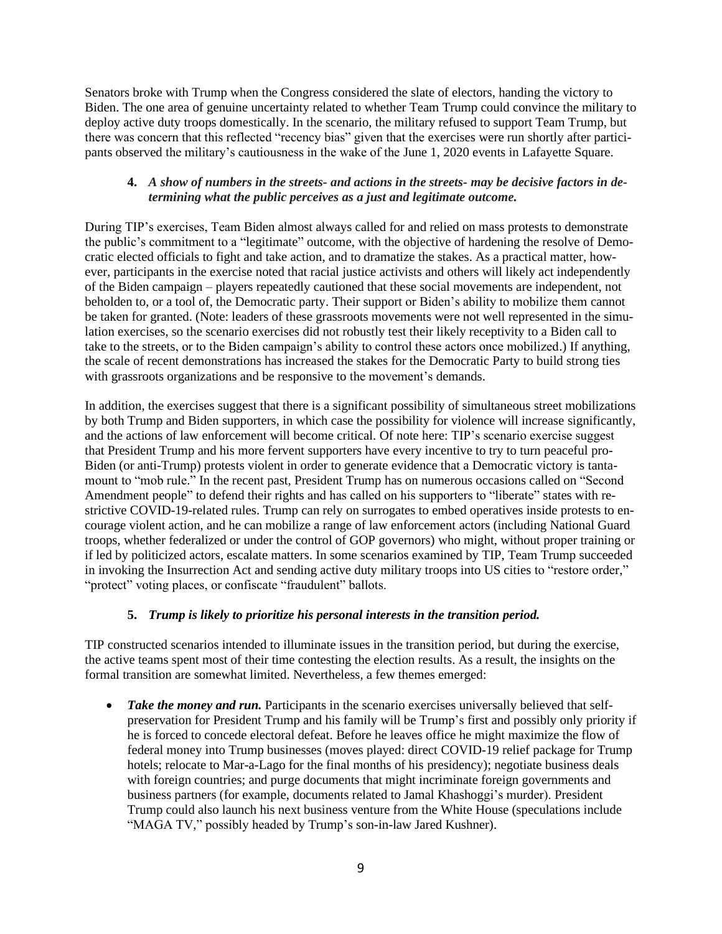Senators broke with Trump when the Congress considered the slate of electors, handing the victory to Biden. The one area of genuine uncertainty related to whether Team Trump could convince the military to deploy active duty troops domestically. In the scenario, the military refused to support Team Trump, but there was concern that this reflected "recency bias" given that the exercises were run shortly after participants observed the military's cautiousness in the wake of the June 1, 2020 events in Lafayette Square.

### **4.** *A show of numbers in the streets- and actions in the streets- may be decisive factors in determining what the public perceives as a just and legitimate outcome.*

During TIP's exercises, Team Biden almost always called for and relied on mass protests to demonstrate the public's commitment to a "legitimate" outcome, with the objective of hardening the resolve of Democratic elected officials to fight and take action, and to dramatize the stakes. As a practical matter, however, participants in the exercise noted that racial justice activists and others will likely act independently of the Biden campaign – players repeatedly cautioned that these social movements are independent, not beholden to, or a tool of, the Democratic party. Their support or Biden's ability to mobilize them cannot be taken for granted. (Note: leaders of these grassroots movements were not well represented in the simulation exercises, so the scenario exercises did not robustly test their likely receptivity to a Biden call to take to the streets, or to the Biden campaign's ability to control these actors once mobilized.) If anything, the scale of recent demonstrations has increased the stakes for the Democratic Party to build strong ties with grassroots organizations and be responsive to the movement's demands.

In addition, the exercises suggest that there is a significant possibility of simultaneous street mobilizations by both Trump and Biden supporters, in which case the possibility for violence will increase significantly, and the actions of law enforcement will become critical. Of note here: TIP's scenario exercise suggest that President Trump and his more fervent supporters have every incentive to try to turn peaceful pro-Biden (or anti-Trump) protests violent in order to generate evidence that a Democratic victory is tantamount to "mob rule." In the recent past, President Trump has on numerous occasions called on "Second Amendment people" to defend their rights and has called on his supporters to "liberate" states with restrictive COVID-19-related rules. Trump can rely on surrogates to embed operatives inside protests to encourage violent action, and he can mobilize a range of law enforcement actors (including National Guard troops, whether federalized or under the control of GOP governors) who might, without proper training or if led by politicized actors, escalate matters. In some scenarios examined by TIP, Team Trump succeeded in invoking the Insurrection Act and sending active duty military troops into US cities to "restore order," "protect" voting places, or confiscate "fraudulent" ballots.

## **5.** *Trump is likely to prioritize his personal interests in the transition period.*

TIP constructed scenarios intended to illuminate issues in the transition period, but during the exercise, the active teams spent most of their time contesting the election results. As a result, the insights on the formal transition are somewhat limited. Nevertheless, a few themes emerged:

• **Take the money and run.** Participants in the scenario exercises universally believed that selfpreservation for President Trump and his family will be Trump's first and possibly only priority if he is forced to concede electoral defeat. Before he leaves office he might maximize the flow of federal money into Trump businesses (moves played: direct COVID-19 relief package for Trump hotels; relocate to Mar-a-Lago for the final months of his presidency); negotiate business deals with foreign countries; and purge documents that might incriminate foreign governments and business partners (for example, documents related to Jamal Khashoggi's murder). President Trump could also launch his next business venture from the White House (speculations include "MAGA TV," possibly headed by Trump's son-in-law Jared Kushner).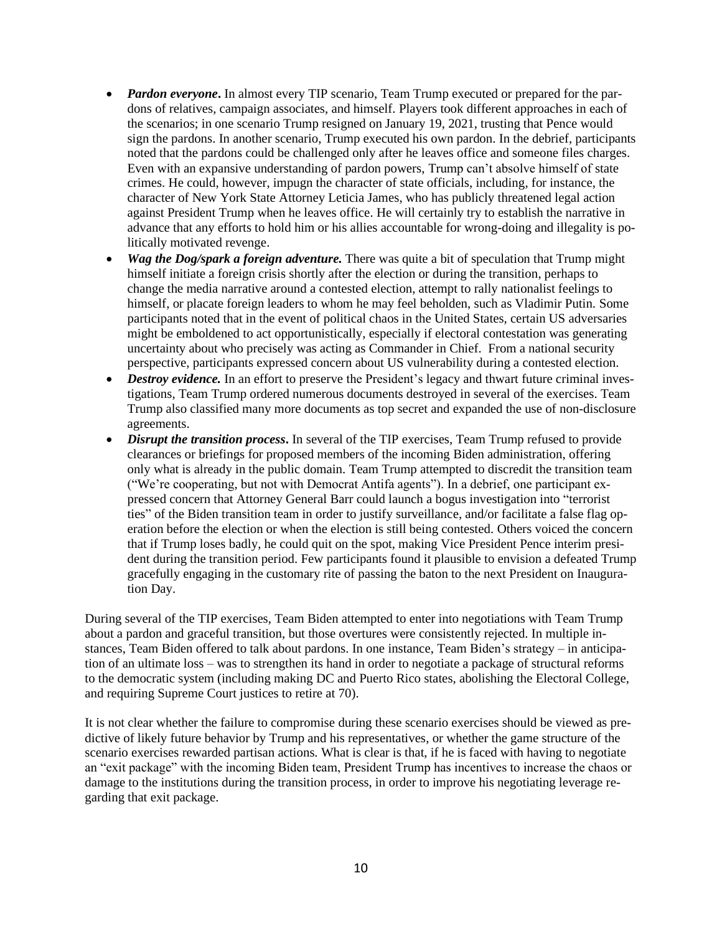- *Pardon everyone*. In almost every TIP scenario, Team Trump executed or prepared for the pardons of relatives, campaign associates, and himself. Players took different approaches in each of the scenarios; in one scenario Trump resigned on January 19, 2021, trusting that Pence would sign the pardons. In another scenario, Trump executed his own pardon. In the debrief, participants noted that the pardons could be challenged only after he leaves office and someone files charges. Even with an expansive understanding of pardon powers, Trump can't absolve himself of state crimes. He could, however, impugn the character of state officials, including, for instance, the character of New York State Attorney Leticia James, who has publicly threatened legal action against President Trump when he leaves office. He will certainly try to establish the narrative in advance that any efforts to hold him or his allies accountable for wrong-doing and illegality is politically motivated revenge.
- *Wag the Dog/spark a foreign adventure.* There was quite a bit of speculation that Trump might himself initiate a foreign crisis shortly after the election or during the transition, perhaps to change the media narrative around a contested election, attempt to rally nationalist feelings to himself, or placate foreign leaders to whom he may feel beholden, such as Vladimir Putin. Some participants noted that in the event of political chaos in the United States, certain US adversaries might be emboldened to act opportunistically, especially if electoral contestation was generating uncertainty about who precisely was acting as Commander in Chief. From a national security perspective, participants expressed concern about US vulnerability during a contested election.
- *Destroy evidence*. In an effort to preserve the President's legacy and thwart future criminal investigations, Team Trump ordered numerous documents destroyed in several of the exercises. Team Trump also classified many more documents as top secret and expanded the use of non-disclosure agreements.
- *Disrupt the transition process*. In several of the TIP exercises, Team Trump refused to provide clearances or briefings for proposed members of the incoming Biden administration, offering only what is already in the public domain. Team Trump attempted to discredit the transition team ("We're cooperating, but not with Democrat Antifa agents"). In a debrief, one participant expressed concern that Attorney General Barr could launch a bogus investigation into "terrorist ties" of the Biden transition team in order to justify surveillance, and/or facilitate a false flag operation before the election or when the election is still being contested. Others voiced the concern that if Trump loses badly, he could quit on the spot, making Vice President Pence interim president during the transition period. Few participants found it plausible to envision a defeated Trump gracefully engaging in the customary rite of passing the baton to the next President on Inauguration Day.

During several of the TIP exercises, Team Biden attempted to enter into negotiations with Team Trump about a pardon and graceful transition, but those overtures were consistently rejected. In multiple instances, Team Biden offered to talk about pardons. In one instance, Team Biden's strategy – in anticipation of an ultimate loss – was to strengthen its hand in order to negotiate a package of structural reforms to the democratic system (including making DC and Puerto Rico states, abolishing the Electoral College, and requiring Supreme Court justices to retire at 70).

It is not clear whether the failure to compromise during these scenario exercises should be viewed as predictive of likely future behavior by Trump and his representatives, or whether the game structure of the scenario exercises rewarded partisan actions. What is clear is that, if he is faced with having to negotiate an "exit package" with the incoming Biden team, President Trump has incentives to increase the chaos or damage to the institutions during the transition process, in order to improve his negotiating leverage regarding that exit package.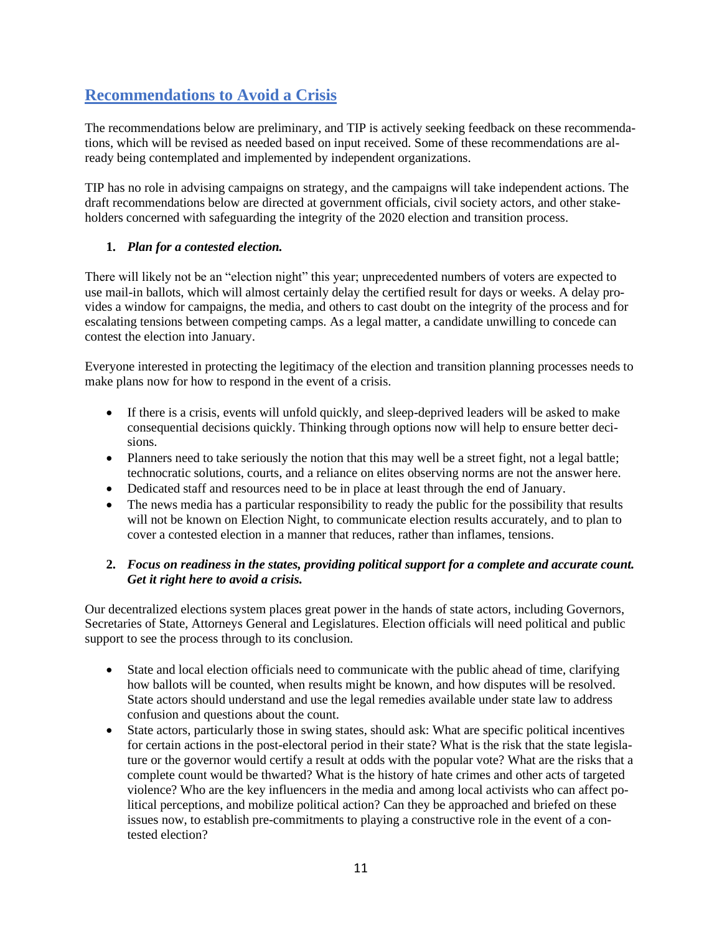## **Recommendations to Avoid a Crisis**

The recommendations below are preliminary, and TIP is actively seeking feedback on these recommendations, which will be revised as needed based on input received. Some of these recommendations are already being contemplated and implemented by independent organizations.

TIP has no role in advising campaigns on strategy, and the campaigns will take independent actions. The draft recommendations below are directed at government officials, civil society actors, and other stakeholders concerned with safeguarding the integrity of the 2020 election and transition process.

## **1.** *Plan for a contested election.*

There will likely not be an "election night" this year; unprecedented numbers of voters are expected to use mail-in ballots, which will almost certainly delay the certified result for days or weeks. A delay provides a window for campaigns, the media, and others to cast doubt on the integrity of the process and for escalating tensions between competing camps. As a legal matter, a candidate unwilling to concede can contest the election into January.

Everyone interested in protecting the legitimacy of the election and transition planning processes needs to make plans now for how to respond in the event of a crisis.

- If there is a crisis, events will unfold quickly, and sleep-deprived leaders will be asked to make consequential decisions quickly. Thinking through options now will help to ensure better decisions.
- Planners need to take seriously the notion that this may well be a street fight, not a legal battle; technocratic solutions, courts, and a reliance on elites observing norms are not the answer here.
- Dedicated staff and resources need to be in place at least through the end of January.
- The news media has a particular responsibility to ready the public for the possibility that results will not be known on Election Night, to communicate election results accurately, and to plan to cover a contested election in a manner that reduces, rather than inflames, tensions.

## **2.** *Focus on readiness in the states, providing political support for a complete and accurate count. Get it right here to avoid a crisis.*

Our decentralized elections system places great power in the hands of state actors, including Governors, Secretaries of State, Attorneys General and Legislatures. Election officials will need political and public support to see the process through to its conclusion.

- State and local election officials need to communicate with the public ahead of time, clarifying how ballots will be counted, when results might be known, and how disputes will be resolved. State actors should understand and use the legal remedies available under state law to address confusion and questions about the count.
- State actors, particularly those in swing states, should ask: What are specific political incentives for certain actions in the post-electoral period in their state? What is the risk that the state legislature or the governor would certify a result at odds with the popular vote? What are the risks that a complete count would be thwarted? What is the history of hate crimes and other acts of targeted violence? Who are the key influencers in the media and among local activists who can affect political perceptions, and mobilize political action? Can they be approached and briefed on these issues now, to establish pre-commitments to playing a constructive role in the event of a contested election?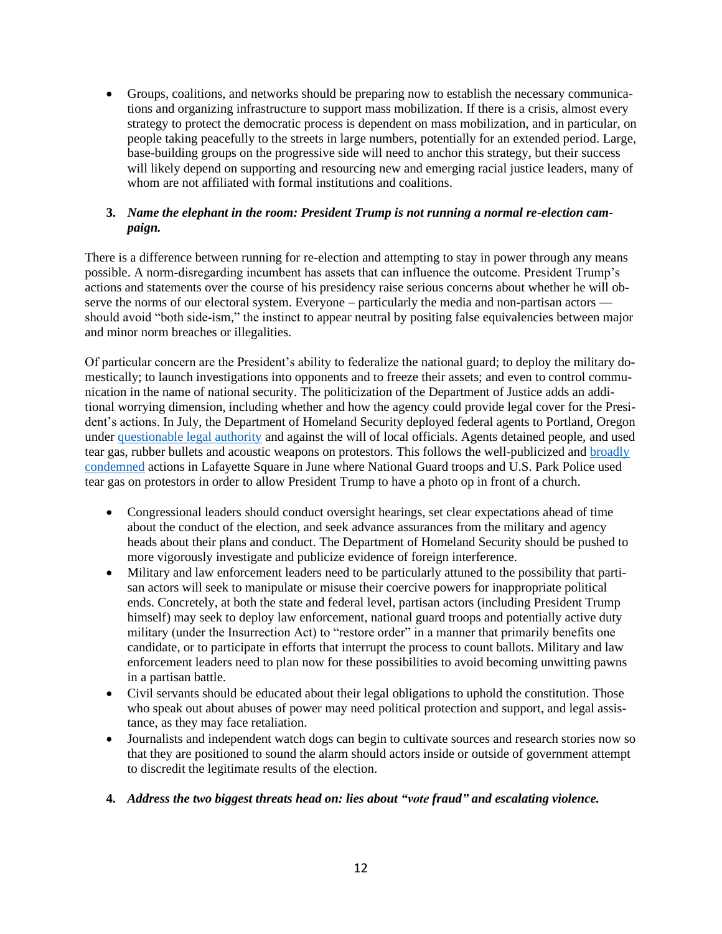• Groups, coalitions, and networks should be preparing now to establish the necessary communications and organizing infrastructure to support mass mobilization. If there is a crisis, almost every strategy to protect the democratic process is dependent on mass mobilization, and in particular, on people taking peacefully to the streets in large numbers, potentially for an extended period. Large, base-building groups on the progressive side will need to anchor this strategy, but their success will likely depend on supporting and resourcing new and emerging racial justice leaders, many of whom are not affiliated with formal institutions and coalitions.

### **3.** *Name the elephant in the room: President Trump is not running a normal re-election campaign.*

There is a difference between running for re-election and attempting to stay in power through any means possible. A norm-disregarding incumbent has assets that can influence the outcome. President Trump's actions and statements over the course of his presidency raise serious concerns about whether he will observe the norms of our electoral system. Everyone – particularly the media and non-partisan actors should avoid "both side-ism," the instinct to appear neutral by positing false equivalencies between major and minor norm breaches or illegalities.

Of particular concern are the President's ability to federalize the national guard; to deploy the military domestically; to launch investigations into opponents and to freeze their assets; and even to control communication in the name of national security. The politicization of the Department of Justice adds an additional worrying dimension, including whether and how the agency could provide legal cover for the President's actions. In July, the Department of Homeland Security deployed federal agents to Portland, Oregon under [questionable legal authority](https://www.nytimes.com/2020/07/17/us/politics/federal-agents-portland-arrests.html) and against the will of local officials. Agents detained people, and used tear gas, rubber bullets and acoustic weapons on protestors. This follows the well-publicized and [broadly](https://www.justsecurity.org/70783/statement-of-homeland-and-national-security-leaders/)  [condemned](https://www.justsecurity.org/70783/statement-of-homeland-and-national-security-leaders/) actions in Lafayette Square in June where National Guard troops and U.S. Park Police used tear gas on protestors in order to allow President Trump to have a photo op in front of a church.

- Congressional leaders should conduct oversight hearings, set clear expectations ahead of time about the conduct of the election, and seek advance assurances from the military and agency heads about their plans and conduct. The Department of Homeland Security should be pushed to more vigorously investigate and publicize evidence of foreign interference.
- Military and law enforcement leaders need to be particularly attuned to the possibility that partisan actors will seek to manipulate or misuse their coercive powers for inappropriate political ends. Concretely, at both the state and federal level, partisan actors (including President Trump himself) may seek to deploy law enforcement, national guard troops and potentially active duty military (under the Insurrection Act) to "restore order" in a manner that primarily benefits one candidate, or to participate in efforts that interrupt the process to count ballots. Military and law enforcement leaders need to plan now for these possibilities to avoid becoming unwitting pawns in a partisan battle.
- Civil servants should be educated about their legal obligations to uphold the constitution. Those who speak out about abuses of power may need political protection and support, and legal assistance, as they may face retaliation.
- Journalists and independent watch dogs can begin to cultivate sources and research stories now so that they are positioned to sound the alarm should actors inside or outside of government attempt to discredit the legitimate results of the election.

#### **4.** *Address the two biggest threats head on: lies about "vote fraud" and escalating violence.*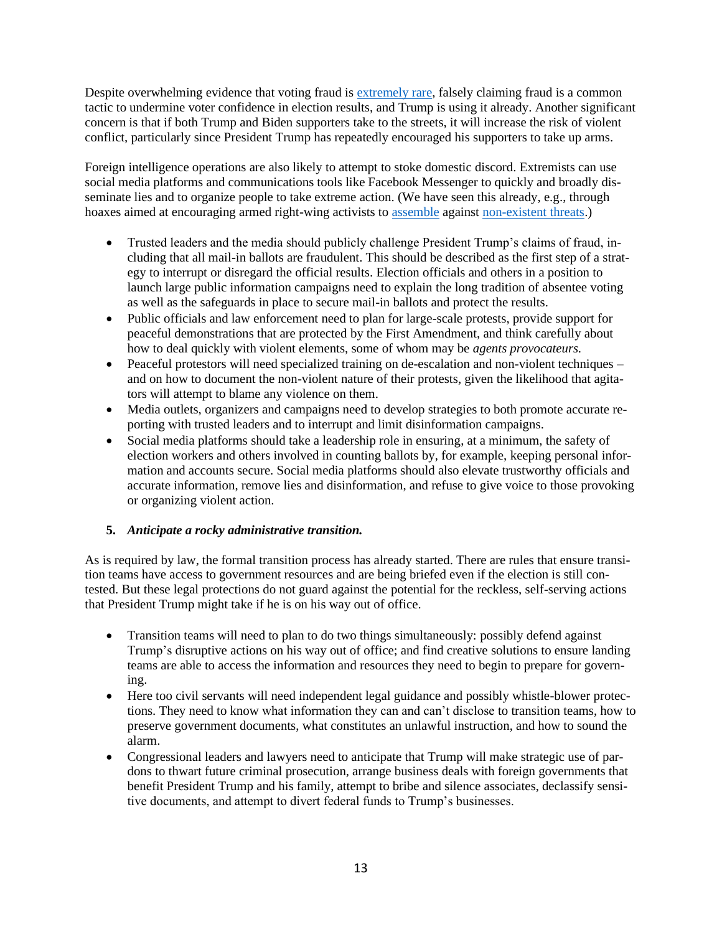Despite overwhelming evidence that voting fraud i[s extremely rare,](https://www.brennancenter.org/our-work/research-reports/10-voter-fraud-lies-debunked) falsely claiming fraud is a common tactic to undermine voter confidence in election results, and Trump is using it already. Another significant concern is that if both Trump and Biden supporters take to the streets, it will increase the risk of violent conflict, particularly since President Trump has repeatedly encouraged his supporters to take up arms.

Foreign intelligence operations are also likely to attempt to stoke domestic discord. Extremists can use social media platforms and communications tools like Facebook Messenger to quickly and broadly disseminate lies and to organize people to take extreme action. (We have seen this already, e.g., through hoaxes aimed at encouraging armed right-wing activists to [assemble](https://www.nytimes.com/2020/06/22/technology/antifa-local-disinformation.html) against [non-existent threats.](https://www.washingtonpost.com/investigations/hundreds-of-armed-men-went-to-gettysburg-to-defend-it-from-a-phantom-antifa-flag-burner-created-on-social-media/2020/07/04/206ee4da-bb05-11ea-86d5-3b9b3863273b_story.html))

- Trusted leaders and the media should publicly challenge President Trump's claims of fraud, including that all mail-in ballots are fraudulent. This should be described as the first step of a strategy to interrupt or disregard the official results. Election officials and others in a position to launch large public information campaigns need to explain the long tradition of absentee voting as well as the safeguards in place to secure mail-in ballots and protect the results.
- Public officials and law enforcement need to plan for large-scale protests, provide support for peaceful demonstrations that are protected by the First Amendment, and think carefully about how to deal quickly with violent elements, some of whom may be *agents provocateurs.*
- Peaceful protestors will need specialized training on de-escalation and non-violent techniques and on how to document the non-violent nature of their protests, given the likelihood that agitators will attempt to blame any violence on them.
- Media outlets, organizers and campaigns need to develop strategies to both promote accurate reporting with trusted leaders and to interrupt and limit disinformation campaigns.
- Social media platforms should take a leadership role in ensuring, at a minimum, the safety of election workers and others involved in counting ballots by, for example, keeping personal information and accounts secure. Social media platforms should also elevate trustworthy officials and accurate information, remove lies and disinformation, and refuse to give voice to those provoking or organizing violent action.

## **5.** *Anticipate a rocky administrative transition.*

As is required by law, the formal transition process has already started. There are rules that ensure transition teams have access to government resources and are being briefed even if the election is still contested. But these legal protections do not guard against the potential for the reckless, self-serving actions that President Trump might take if he is on his way out of office.

- Transition teams will need to plan to do two things simultaneously: possibly defend against Trump's disruptive actions on his way out of office; and find creative solutions to ensure landing teams are able to access the information and resources they need to begin to prepare for governing.
- Here too civil servants will need independent legal guidance and possibly whistle-blower protections. They need to know what information they can and can't disclose to transition teams, how to preserve government documents, what constitutes an unlawful instruction, and how to sound the alarm.
- Congressional leaders and lawyers need to anticipate that Trump will make strategic use of pardons to thwart future criminal prosecution, arrange business deals with foreign governments that benefit President Trump and his family, attempt to bribe and silence associates, declassify sensitive documents, and attempt to divert federal funds to Trump's businesses.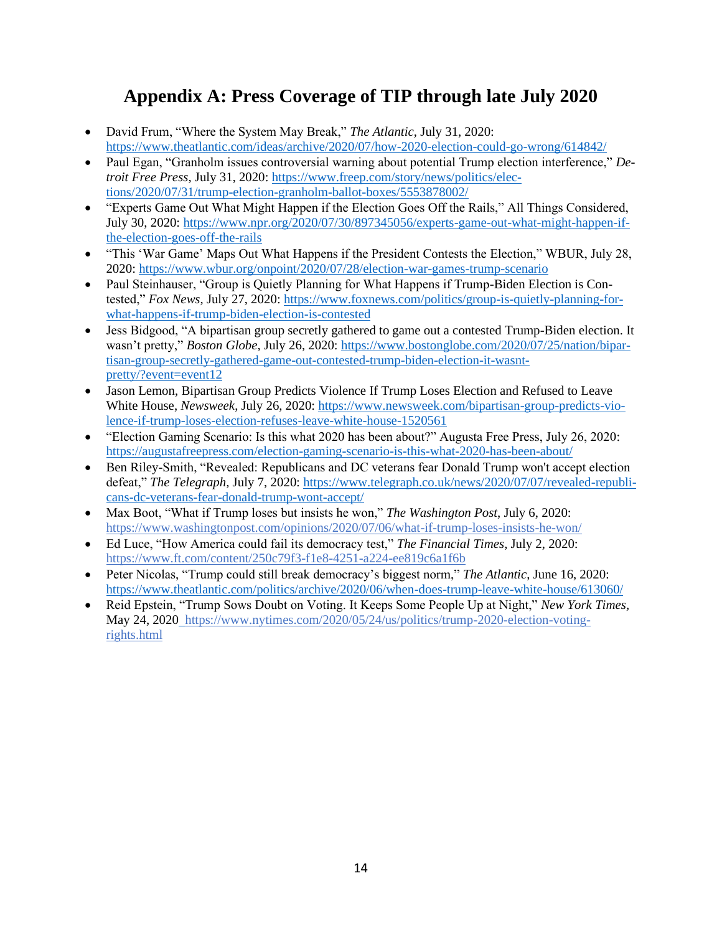# **Appendix A: Press Coverage of TIP through late July 2020**

- David Frum, "Where the System May Break," *The Atlantic*, July 31, 2020: <https://www.theatlantic.com/ideas/archive/2020/07/how-2020-election-could-go-wrong/614842/>
- Paul Egan, "Granholm issues controversial warning about potential Trump election interference," *Detroit Free Press*, July 31, 2020: [https://www.freep.com/story/news/politics/elec](https://www.freep.com/story/news/politics/elections/2020/07/31/trump-election-granholm-ballot-boxes/5553878002/)[tions/2020/07/31/trump-election-granholm-ballot-boxes/5553878002/](https://www.freep.com/story/news/politics/elections/2020/07/31/trump-election-granholm-ballot-boxes/5553878002/)
- "Experts Game Out What Might Happen if the Election Goes Off the Rails," All Things Considered, July 30, 2020: [https://www.npr.org/2020/07/30/897345056/experts-game-out-what-might-happen-if](https://www.npr.org/2020/07/30/897345056/experts-game-out-what-might-happen-if-the-election-goes-off-the-rails)[the-election-goes-off-the-rails](https://www.npr.org/2020/07/30/897345056/experts-game-out-what-might-happen-if-the-election-goes-off-the-rails)
- "This 'War Game' Maps Out What Happens if the President Contests the Election," WBUR, July 28, 2020:<https://www.wbur.org/onpoint/2020/07/28/election-war-games-trump-scenario>
- Paul Steinhauser, "Group is Quietly Planning for What Happens if Trump-Biden Election is Contested," *Fox News*, July 27, 2020[: https://www.foxnews.com/politics/group-is-quietly-planning-for](https://www.foxnews.com/politics/group-is-quietly-planning-for-what-happens-if-trump-biden-election-is-contested)[what-happens-if-trump-biden-election-is-contested](https://www.foxnews.com/politics/group-is-quietly-planning-for-what-happens-if-trump-biden-election-is-contested)
- Jess Bidgood, "A bipartisan group secretly gathered to game out a contested Trump-Biden election. It wasn't pretty," *Boston Globe*, July 26, 2020: [https://www.bostonglobe.com/2020/07/25/nation/bipar](https://www.bostonglobe.com/2020/07/25/nation/bipartisan-group-secretly-gathered-game-out-contested-trump-biden-election-it-wasnt-pretty/?event=event12)[tisan-group-secretly-gathered-game-out-contested-trump-biden-election-it-wasnt](https://www.bostonglobe.com/2020/07/25/nation/bipartisan-group-secretly-gathered-game-out-contested-trump-biden-election-it-wasnt-pretty/?event=event12)[pretty/?event=event12](https://www.bostonglobe.com/2020/07/25/nation/bipartisan-group-secretly-gathered-game-out-contested-trump-biden-election-it-wasnt-pretty/?event=event12)
- Jason Lemon, Bipartisan Group Predicts Violence If Trump Loses Election and Refused to Leave White House, *Newsweek*, July 26, 2020: [https://www.newsweek.com/bipartisan-group-predicts-vio](https://www.newsweek.com/bipartisan-group-predicts-violence-if-trump-loses-election-refuses-leave-white-house-1520561)[lence-if-trump-loses-election-refuses-leave-white-house-1520561](https://www.newsweek.com/bipartisan-group-predicts-violence-if-trump-loses-election-refuses-leave-white-house-1520561)
- "Election Gaming Scenario: Is this what 2020 has been about?" Augusta Free Press, July 26, 2020: <https://augustafreepress.com/election-gaming-scenario-is-this-what-2020-has-been-about/>
- Ben Riley-Smith, "Revealed: Republicans and DC veterans fear Donald Trump won't accept election defeat," *The Telegraph,* July 7, 2020: [https://www.telegraph.co.uk/news/2020/07/07/revealed-republi](https://www.telegraph.co.uk/news/2020/07/07/revealed-republicans-dc-veterans-fear-donald-trump-wont-accept/)[cans-dc-veterans-fear-donald-trump-wont-accept/](https://www.telegraph.co.uk/news/2020/07/07/revealed-republicans-dc-veterans-fear-donald-trump-wont-accept/)
- Max Boot, "What if Trump loses but insists he won," *The Washington Post*, July 6, 2020[:](https://www.washingtonpost.com/opinions/2020/07/06/what-if-trump-loses-insists-he-won/) <https://www.washingtonpost.com/opinions/2020/07/06/what-if-trump-loses-insists-he-won/>
- Ed Luce, "How America could fail its democracy test," *The Financial Times*, July 2, 2020[:](https://www.ft.com/content/250c79f3-f1e8-4251-a224-ee819c6a1f6b) <https://www.ft.com/content/250c79f3-f1e8-4251-a224-ee819c6a1f6b>
- Peter Nicolas, "Trump could still break democracy's biggest norm," *The Atlantic*, June 16, 2020: <https://www.theatlantic.com/politics/archive/2020/06/when-does-trump-leave-white-house/613060/>
- Reid Epstein, "Trump Sows Doubt on Voting. It Keeps Some People Up at Night," *New York Times,*  May 24, 2020 [https://www.nytimes.com/2020/05/24/us/politics/trump-2020-election-voting](https://www.nytimes.com/2020/05/24/us/politics/trump-2020-election-voting-rights.html)[rights.html](https://www.nytimes.com/2020/05/24/us/politics/trump-2020-election-voting-rights.html)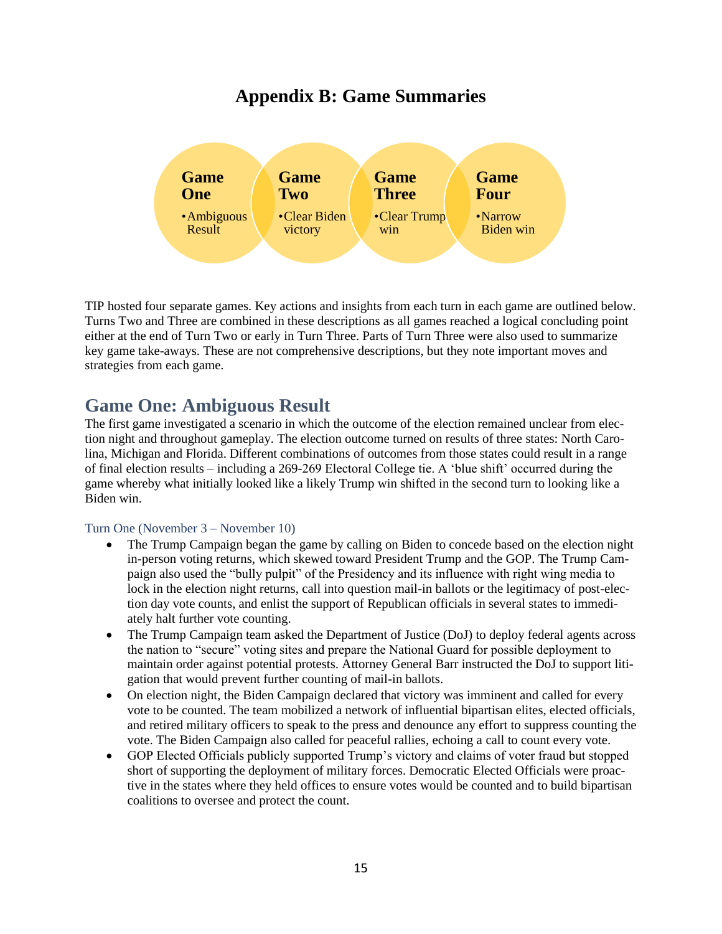# **Appendix B: Game Summaries**



TIP hosted four separate games. Key actions and insights from each turn in each game are outlined below. Turns Two and Three are combined in these descriptions as all games reached a logical concluding point either at the end of Turn Two or early in Turn Three. Parts of Turn Three were also used to summarize key game take-aways. These are not comprehensive descriptions, but they note important moves and strategies from each game.

# **Game One: Ambiguous Result**

The first game investigated a scenario in which the outcome of the election remained unclear from election night and throughout gameplay. The election outcome turned on results of three states: North Carolina, Michigan and Florida. Different combinations of outcomes from those states could result in a range of final election results – including a 269-269 Electoral College tie. A 'blue shift' occurred during the game whereby what initially looked like a likely Trump win shifted in the second turn to looking like a Biden win.

## Turn One (November 3 – November 10)

- The Trump Campaign began the game by calling on Biden to concede based on the election night in-person voting returns, which skewed toward President Trump and the GOP. The Trump Campaign also used the "bully pulpit" of the Presidency and its influence with right wing media to lock in the election night returns, call into question mail-in ballots or the legitimacy of post-election day vote counts, and enlist the support of Republican officials in several states to immediately halt further vote counting.
- The Trump Campaign team asked the Department of Justice (DoJ) to deploy federal agents across the nation to "secure" voting sites and prepare the National Guard for possible deployment to maintain order against potential protests. Attorney General Barr instructed the DoJ to support litigation that would prevent further counting of mail-in ballots.
- On election night, the Biden Campaign declared that victory was imminent and called for every vote to be counted. The team mobilized a network of influential bipartisan elites, elected officials, and retired military officers to speak to the press and denounce any effort to suppress counting the vote. The Biden Campaign also called for peaceful rallies, echoing a call to count every vote.
- GOP Elected Officials publicly supported Trump's victory and claims of voter fraud but stopped short of supporting the deployment of military forces. Democratic Elected Officials were proactive in the states where they held offices to ensure votes would be counted and to build bipartisan coalitions to oversee and protect the count.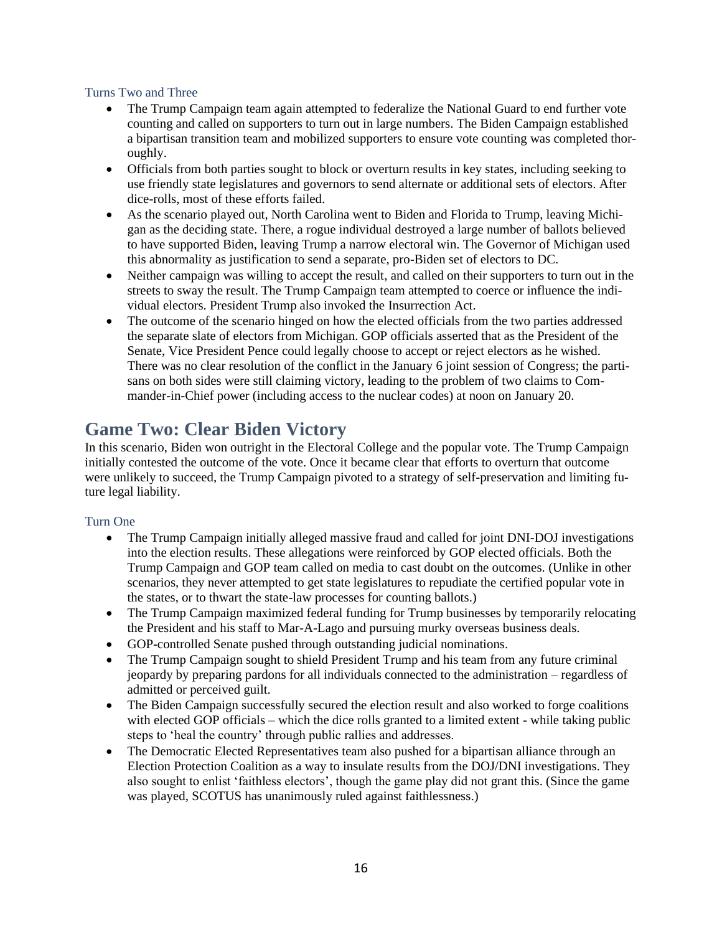### Turns Two and Three

- The Trump Campaign team again attempted to federalize the National Guard to end further vote counting and called on supporters to turn out in large numbers. The Biden Campaign established a bipartisan transition team and mobilized supporters to ensure vote counting was completed thoroughly.
- Officials from both parties sought to block or overturn results in key states, including seeking to use friendly state legislatures and governors to send alternate or additional sets of electors. After dice-rolls, most of these efforts failed.
- As the scenario played out, North Carolina went to Biden and Florida to Trump, leaving Michigan as the deciding state. There, a rogue individual destroyed a large number of ballots believed to have supported Biden, leaving Trump a narrow electoral win. The Governor of Michigan used this abnormality as justification to send a separate, pro-Biden set of electors to DC.
- Neither campaign was willing to accept the result, and called on their supporters to turn out in the streets to sway the result. The Trump Campaign team attempted to coerce or influence the individual electors. President Trump also invoked the Insurrection Act.
- The outcome of the scenario hinged on how the elected officials from the two parties addressed the separate slate of electors from Michigan. GOP officials asserted that as the President of the Senate, Vice President Pence could legally choose to accept or reject electors as he wished. There was no clear resolution of the conflict in the January 6 joint session of Congress; the partisans on both sides were still claiming victory, leading to the problem of two claims to Commander-in-Chief power (including access to the nuclear codes) at noon on January 20.

# **Game Two: Clear Biden Victory**

In this scenario, Biden won outright in the Electoral College and the popular vote. The Trump Campaign initially contested the outcome of the vote. Once it became clear that efforts to overturn that outcome were unlikely to succeed, the Trump Campaign pivoted to a strategy of self-preservation and limiting future legal liability.

## Turn One

- The Trump Campaign initially alleged massive fraud and called for joint DNI-DOJ investigations into the election results. These allegations were reinforced by GOP elected officials. Both the Trump Campaign and GOP team called on media to cast doubt on the outcomes. (Unlike in other scenarios, they never attempted to get state legislatures to repudiate the certified popular vote in the states, or to thwart the state-law processes for counting ballots.)
- The Trump Campaign maximized federal funding for Trump businesses by temporarily relocating the President and his staff to Mar-A-Lago and pursuing murky overseas business deals.
- GOP-controlled Senate pushed through outstanding judicial nominations.
- The Trump Campaign sought to shield President Trump and his team from any future criminal jeopardy by preparing pardons for all individuals connected to the administration – regardless of admitted or perceived guilt.
- The Biden Campaign successfully secured the election result and also worked to forge coalitions with elected GOP officials – which the dice rolls granted to a limited extent - while taking public steps to 'heal the country' through public rallies and addresses.
- The Democratic Elected Representatives team also pushed for a bipartisan alliance through an Election Protection Coalition as a way to insulate results from the DOJ/DNI investigations. They also sought to enlist 'faithless electors', though the game play did not grant this. (Since the game was played, SCOTUS has unanimously ruled against faithlessness.)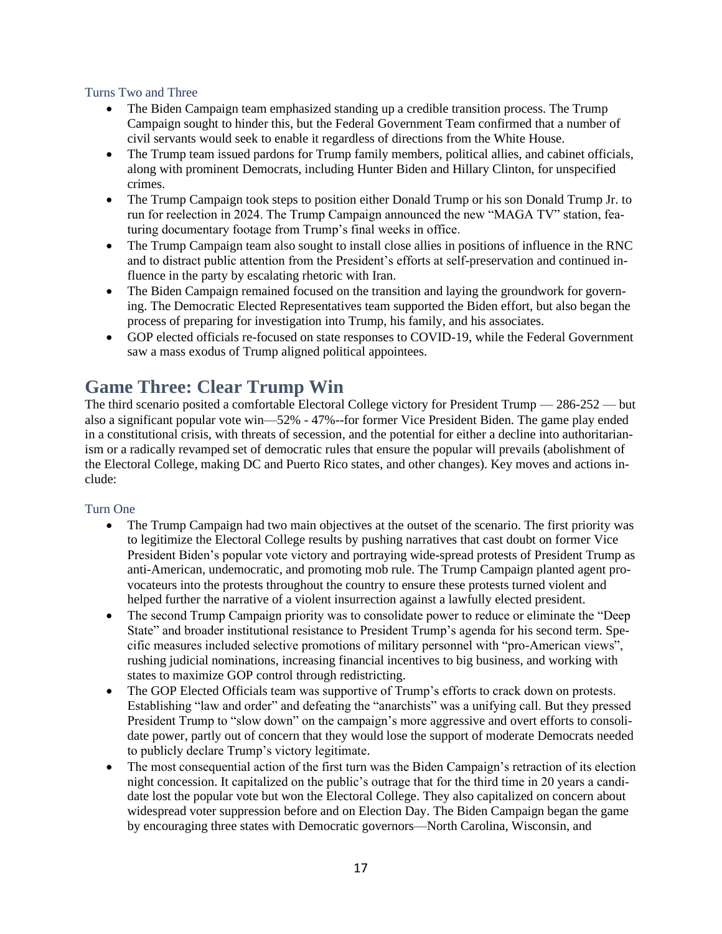#### Turns Two and Three

- The Biden Campaign team emphasized standing up a credible transition process. The Trump Campaign sought to hinder this, but the Federal Government Team confirmed that a number of civil servants would seek to enable it regardless of directions from the White House.
- The Trump team issued pardons for Trump family members, political allies, and cabinet officials, along with prominent Democrats, including Hunter Biden and Hillary Clinton, for unspecified crimes.
- The Trump Campaign took steps to position either Donald Trump or his son Donald Trump Jr. to run for reelection in 2024. The Trump Campaign announced the new "MAGA TV" station, featuring documentary footage from Trump's final weeks in office.
- The Trump Campaign team also sought to install close allies in positions of influence in the RNC and to distract public attention from the President's efforts at self-preservation and continued influence in the party by escalating rhetoric with Iran.
- The Biden Campaign remained focused on the transition and laying the groundwork for governing. The Democratic Elected Representatives team supported the Biden effort, but also began the process of preparing for investigation into Trump, his family, and his associates.
- GOP elected officials re-focused on state responses to COVID-19, while the Federal Government saw a mass exodus of Trump aligned political appointees.

# **Game Three: Clear Trump Win**

The third scenario posited a comfortable Electoral College victory for President Trump — 286-252 — but also a significant popular vote win—52% - 47%--for former Vice President Biden. The game play ended in a constitutional crisis, with threats of secession, and the potential for either a decline into authoritarianism or a radically revamped set of democratic rules that ensure the popular will prevails (abolishment of the Electoral College, making DC and Puerto Rico states, and other changes). Key moves and actions include:

#### Turn One

- The Trump Campaign had two main objectives at the outset of the scenario. The first priority was to legitimize the Electoral College results by pushing narratives that cast doubt on former Vice President Biden's popular vote victory and portraying wide-spread protests of President Trump as anti-American, undemocratic, and promoting mob rule. The Trump Campaign planted agent provocateurs into the protests throughout the country to ensure these protests turned violent and helped further the narrative of a violent insurrection against a lawfully elected president.
- The second Trump Campaign priority was to consolidate power to reduce or eliminate the "Deep" State" and broader institutional resistance to President Trump's agenda for his second term. Specific measures included selective promotions of military personnel with "pro-American views", rushing judicial nominations, increasing financial incentives to big business, and working with states to maximize GOP control through redistricting.
- The GOP Elected Officials team was supportive of Trump's efforts to crack down on protests. Establishing "law and order" and defeating the "anarchists" was a unifying call. But they pressed President Trump to "slow down" on the campaign's more aggressive and overt efforts to consolidate power, partly out of concern that they would lose the support of moderate Democrats needed to publicly declare Trump's victory legitimate.
- The most consequential action of the first turn was the Biden Campaign's retraction of its election night concession. It capitalized on the public's outrage that for the third time in 20 years a candidate lost the popular vote but won the Electoral College. They also capitalized on concern about widespread voter suppression before and on Election Day. The Biden Campaign began the game by encouraging three states with Democratic governors—North Carolina, Wisconsin, and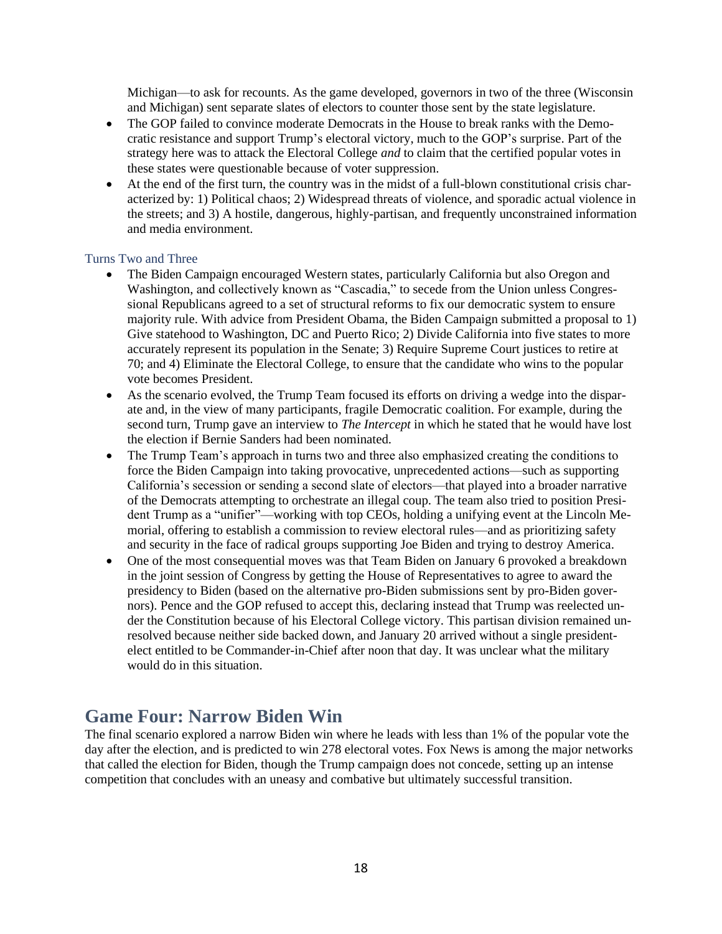Michigan—to ask for recounts. As the game developed, governors in two of the three (Wisconsin and Michigan) sent separate slates of electors to counter those sent by the state legislature.

- The GOP failed to convince moderate Democrats in the House to break ranks with the Democratic resistance and support Trump's electoral victory, much to the GOP's surprise. Part of the strategy here was to attack the Electoral College *and* to claim that the certified popular votes in these states were questionable because of voter suppression.
- At the end of the first turn, the country was in the midst of a full-blown constitutional crisis characterized by: 1) Political chaos; 2) Widespread threats of violence, and sporadic actual violence in the streets; and 3) A hostile, dangerous, highly-partisan, and frequently unconstrained information and media environment.

#### Turns Two and Three

- The Biden Campaign encouraged Western states, particularly California but also Oregon and Washington, and collectively known as "Cascadia," to secede from the Union unless Congressional Republicans agreed to a set of structural reforms to fix our democratic system to ensure majority rule. With advice from President Obama, the Biden Campaign submitted a proposal to 1) Give statehood to Washington, DC and Puerto Rico; 2) Divide California into five states to more accurately represent its population in the Senate; 3) Require Supreme Court justices to retire at 70; and 4) Eliminate the Electoral College, to ensure that the candidate who wins to the popular vote becomes President.
- As the scenario evolved, the Trump Team focused its efforts on driving a wedge into the disparate and, in the view of many participants, fragile Democratic coalition. For example, during the second turn, Trump gave an interview to *The Intercept* in which he stated that he would have lost the election if Bernie Sanders had been nominated.
- The Trump Team's approach in turns two and three also emphasized creating the conditions to force the Biden Campaign into taking provocative, unprecedented actions—such as supporting California's secession or sending a second slate of electors—that played into a broader narrative of the Democrats attempting to orchestrate an illegal coup. The team also tried to position President Trump as a "unifier"—working with top CEOs, holding a unifying event at the Lincoln Memorial, offering to establish a commission to review electoral rules—and as prioritizing safety and security in the face of radical groups supporting Joe Biden and trying to destroy America.
- One of the most consequential moves was that Team Biden on January 6 provoked a breakdown in the joint session of Congress by getting the House of Representatives to agree to award the presidency to Biden (based on the alternative pro-Biden submissions sent by pro-Biden governors). Pence and the GOP refused to accept this, declaring instead that Trump was reelected under the Constitution because of his Electoral College victory. This partisan division remained unresolved because neither side backed down, and January 20 arrived without a single presidentelect entitled to be Commander-in-Chief after noon that day. It was unclear what the military would do in this situation.

## **Game Four: Narrow Biden Win**

The final scenario explored a narrow Biden win where he leads with less than 1% of the popular vote the day after the election, and is predicted to win 278 electoral votes. Fox News is among the major networks that called the election for Biden, though the Trump campaign does not concede, setting up an intense competition that concludes with an uneasy and combative but ultimately successful transition.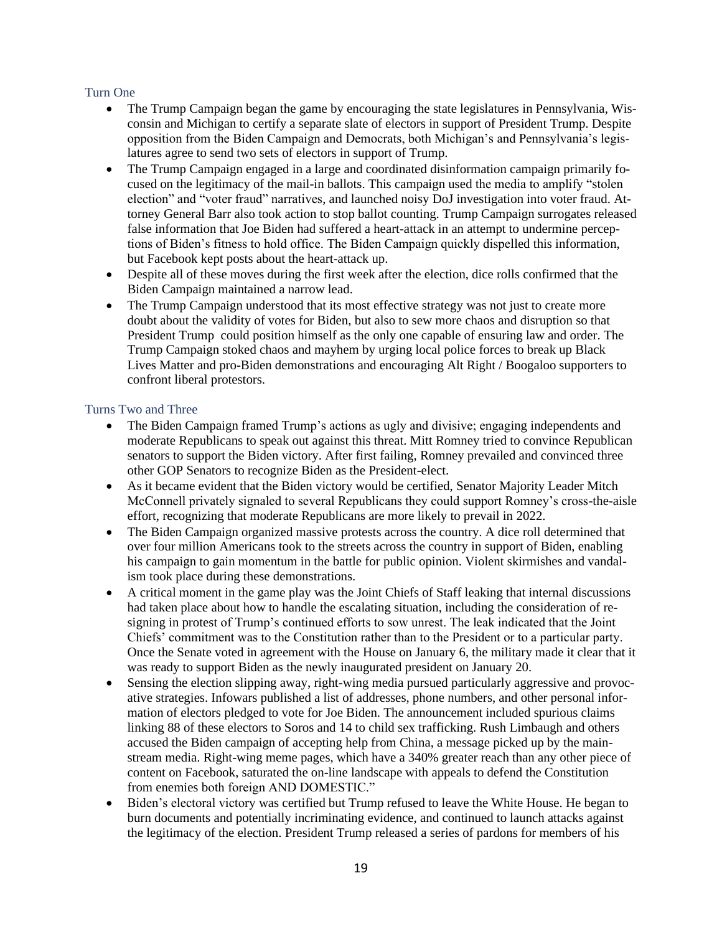#### Turn One

- The Trump Campaign began the game by encouraging the state legislatures in Pennsylvania, Wisconsin and Michigan to certify a separate slate of electors in support of President Trump. Despite opposition from the Biden Campaign and Democrats, both Michigan's and Pennsylvania's legislatures agree to send two sets of electors in support of Trump.
- The Trump Campaign engaged in a large and coordinated disinformation campaign primarily focused on the legitimacy of the mail-in ballots. This campaign used the media to amplify "stolen election" and "voter fraud" narratives, and launched noisy DoJ investigation into voter fraud. Attorney General Barr also took action to stop ballot counting. Trump Campaign surrogates released false information that Joe Biden had suffered a heart-attack in an attempt to undermine perceptions of Biden's fitness to hold office. The Biden Campaign quickly dispelled this information, but Facebook kept posts about the heart-attack up.
- Despite all of these moves during the first week after the election, dice rolls confirmed that the Biden Campaign maintained a narrow lead.
- The Trump Campaign understood that its most effective strategy was not just to create more doubt about the validity of votes for Biden, but also to sew more chaos and disruption so that President Trump could position himself as the only one capable of ensuring law and order. The Trump Campaign stoked chaos and mayhem by urging local police forces to break up Black Lives Matter and pro-Biden demonstrations and encouraging Alt Right / Boogaloo supporters to confront liberal protestors.

#### Turns Two and Three

- The Biden Campaign framed Trump's actions as ugly and divisive; engaging independents and moderate Republicans to speak out against this threat. Mitt Romney tried to convince Republican senators to support the Biden victory. After first failing, Romney prevailed and convinced three other GOP Senators to recognize Biden as the President-elect.
- As it became evident that the Biden victory would be certified, Senator Majority Leader Mitch McConnell privately signaled to several Republicans they could support Romney's cross-the-aisle effort, recognizing that moderate Republicans are more likely to prevail in 2022.
- The Biden Campaign organized massive protests across the country. A dice roll determined that over four million Americans took to the streets across the country in support of Biden, enabling his campaign to gain momentum in the battle for public opinion. Violent skirmishes and vandalism took place during these demonstrations.
- A critical moment in the game play was the Joint Chiefs of Staff leaking that internal discussions had taken place about how to handle the escalating situation, including the consideration of resigning in protest of Trump's continued efforts to sow unrest. The leak indicated that the Joint Chiefs' commitment was to the Constitution rather than to the President or to a particular party. Once the Senate voted in agreement with the House on January 6, the military made it clear that it was ready to support Biden as the newly inaugurated president on January 20.
- Sensing the election slipping away, right-wing media pursued particularly aggressive and provocative strategies. Infowars published a list of addresses, phone numbers, and other personal information of electors pledged to vote for Joe Biden. The announcement included spurious claims linking 88 of these electors to Soros and 14 to child sex trafficking. Rush Limbaugh and others accused the Biden campaign of accepting help from China, a message picked up by the mainstream media. Right-wing meme pages, which have a 340% greater reach than any other piece of content on Facebook, saturated the on-line landscape with appeals to defend the Constitution from enemies both foreign AND DOMESTIC."
- Biden's electoral victory was certified but Trump refused to leave the White House. He began to burn documents and potentially incriminating evidence, and continued to launch attacks against the legitimacy of the election. President Trump released a series of pardons for members of his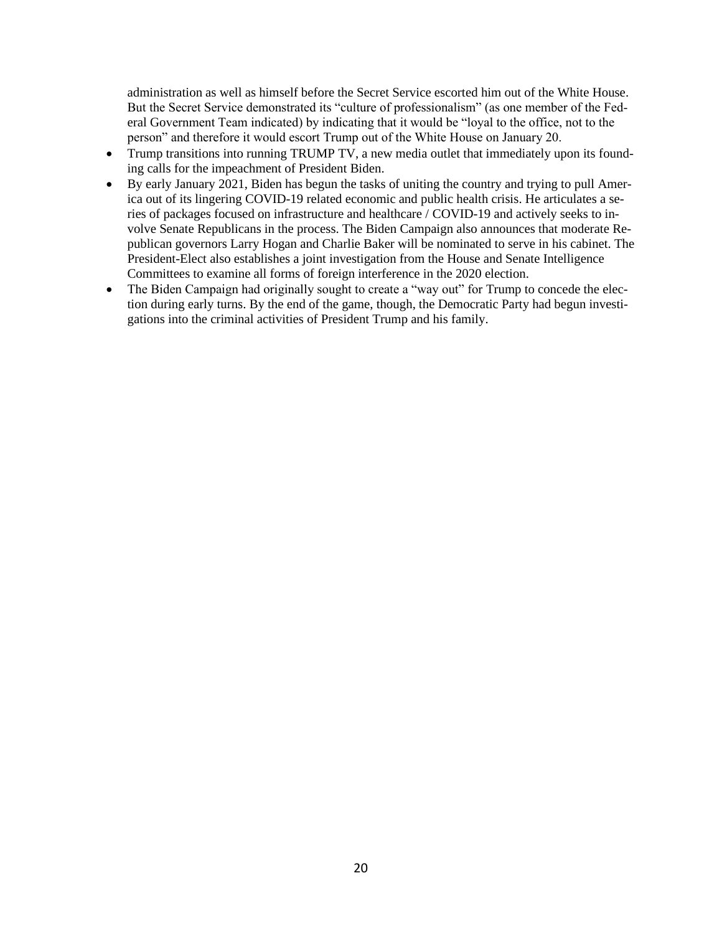administration as well as himself before the Secret Service escorted him out of the White House. But the Secret Service demonstrated its "culture of professionalism" (as one member of the Federal Government Team indicated) by indicating that it would be "loyal to the office, not to the person" and therefore it would escort Trump out of the White House on January 20.

- Trump transitions into running TRUMP TV, a new media outlet that immediately upon its founding calls for the impeachment of President Biden.
- By early January 2021, Biden has begun the tasks of uniting the country and trying to pull America out of its lingering COVID-19 related economic and public health crisis. He articulates a series of packages focused on infrastructure and healthcare / COVID-19 and actively seeks to involve Senate Republicans in the process. The Biden Campaign also announces that moderate Republican governors Larry Hogan and Charlie Baker will be nominated to serve in his cabinet. The President-Elect also establishes a joint investigation from the House and Senate Intelligence Committees to examine all forms of foreign interference in the 2020 election.
- The Biden Campaign had originally sought to create a "way out" for Trump to concede the election during early turns. By the end of the game, though, the Democratic Party had begun investigations into the criminal activities of President Trump and his family.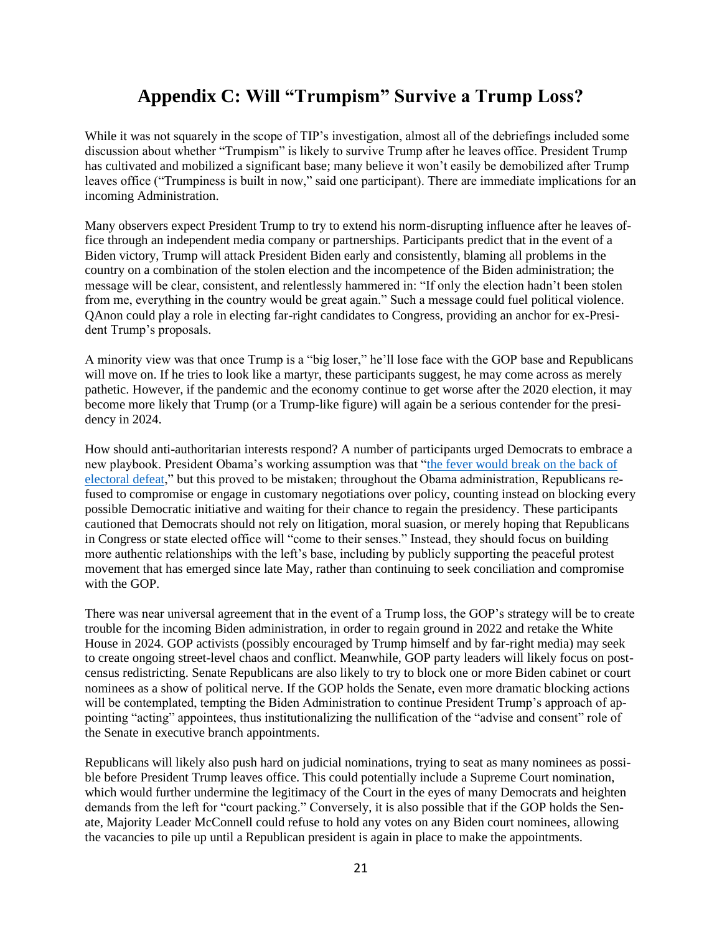# **Appendix C: Will "Trumpism" Survive a Trump Loss?**

While it was not squarely in the scope of TIP's investigation, almost all of the debriefings included some discussion about whether "Trumpism" is likely to survive Trump after he leaves office. President Trump has cultivated and mobilized a significant base; many believe it won't easily be demobilized after Trump leaves office ("Trumpiness is built in now," said one participant). There are immediate implications for an incoming Administration.

Many observers expect President Trump to try to extend his norm-disrupting influence after he leaves office through an independent media company or partnerships. Participants predict that in the event of a Biden victory, Trump will attack President Biden early and consistently, blaming all problems in the country on a combination of the stolen election and the incompetence of the Biden administration; the message will be clear, consistent, and relentlessly hammered in: "If only the election hadn't been stolen from me, everything in the country would be great again." Such a message could fuel political violence. QAnon could play a role in electing far-right candidates to Congress, providing an anchor for ex-President Trump's proposals.

A minority view was that once Trump is a "big loser," he'll lose face with the GOP base and Republicans will move on. If he tries to look like a martyr, these participants suggest, he may come across as merely pathetic. However, if the pandemic and the economy continue to get worse after the 2020 election, it may become more likely that Trump (or a Trump-like figure) will again be a serious contender for the presidency in 2024.

How should anti-authoritarian interests respond? A number of participants urged Democrats to embrace a new playbook. President Obama's working assumption was that ["the fever would break on the back of](https://www.politico.com/blogs/politico44/2012/06/obama-republican-fever-will-break-after-the-election-125059)  [electoral defeat,](https://www.politico.com/blogs/politico44/2012/06/obama-republican-fever-will-break-after-the-election-125059)" but this proved to be mistaken; throughout the Obama administration, Republicans refused to compromise or engage in customary negotiations over policy, counting instead on blocking every possible Democratic initiative and waiting for their chance to regain the presidency. These participants cautioned that Democrats should not rely on litigation, moral suasion, or merely hoping that Republicans in Congress or state elected office will "come to their senses." Instead, they should focus on building more authentic relationships with the left's base, including by publicly supporting the peaceful protest movement that has emerged since late May, rather than continuing to seek conciliation and compromise with the GOP.

There was near universal agreement that in the event of a Trump loss, the GOP's strategy will be to create trouble for the incoming Biden administration, in order to regain ground in 2022 and retake the White House in 2024. GOP activists (possibly encouraged by Trump himself and by far-right media) may seek to create ongoing street-level chaos and conflict. Meanwhile, GOP party leaders will likely focus on postcensus redistricting. Senate Republicans are also likely to try to block one or more Biden cabinet or court nominees as a show of political nerve. If the GOP holds the Senate, even more dramatic blocking actions will be contemplated, tempting the Biden Administration to continue President Trump's approach of appointing "acting" appointees, thus institutionalizing the nullification of the "advise and consent" role of the Senate in executive branch appointments.

Republicans will likely also push hard on judicial nominations, trying to seat as many nominees as possible before President Trump leaves office. This could potentially include a Supreme Court nomination, which would further undermine the legitimacy of the Court in the eyes of many Democrats and heighten demands from the left for "court packing." Conversely, it is also possible that if the GOP holds the Senate, Majority Leader McConnell could refuse to hold any votes on any Biden court nominees, allowing the vacancies to pile up until a Republican president is again in place to make the appointments.